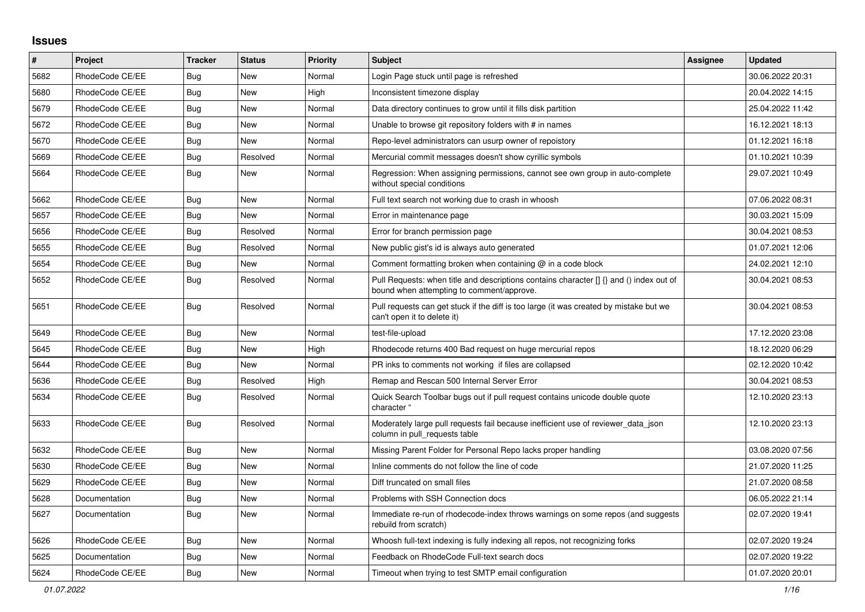## **Issues**

| #    | <b>Project</b>  | <b>Tracker</b> | <b>Status</b> | Priority | <b>Subject</b>                                                                                                                       | <b>Assignee</b> | <b>Updated</b>   |
|------|-----------------|----------------|---------------|----------|--------------------------------------------------------------------------------------------------------------------------------------|-----------------|------------------|
| 5682 | RhodeCode CE/EE | <b>Bug</b>     | <b>New</b>    | Normal   | Login Page stuck until page is refreshed                                                                                             |                 | 30.06.2022 20:31 |
| 5680 | RhodeCode CE/EE | <b>Bug</b>     | <b>New</b>    | High     | Inconsistent timezone display                                                                                                        |                 | 20.04.2022 14:15 |
| 5679 | RhodeCode CE/EE | Bug            | New           | Normal   | Data directory continues to grow until it fills disk partition                                                                       |                 | 25.04.2022 11:42 |
| 5672 | RhodeCode CE/EE | Bug            | New           | Normal   | Unable to browse git repository folders with # in names                                                                              |                 | 16.12.2021 18:13 |
| 5670 | RhodeCode CE/EE | Bug            | New           | Normal   | Repo-level administrators can usurp owner of repoistory                                                                              |                 | 01.12.2021 16:18 |
| 5669 | RhodeCode CE/EE | Bug            | Resolved      | Normal   | Mercurial commit messages doesn't show cyrillic symbols                                                                              |                 | 01.10.2021 10:39 |
| 5664 | RhodeCode CE/EE | Bug            | New           | Normal   | Regression: When assigning permissions, cannot see own group in auto-complete<br>without special conditions                          |                 | 29.07.2021 10:49 |
| 5662 | RhodeCode CE/EE | Bug            | <b>New</b>    | Normal   | Full text search not working due to crash in whoosh                                                                                  |                 | 07.06.2022 08:31 |
| 5657 | RhodeCode CE/EE | Bug            | New           | Normal   | Error in maintenance page                                                                                                            |                 | 30.03.2021 15:09 |
| 5656 | RhodeCode CE/EE | Bug            | Resolved      | Normal   | Error for branch permission page                                                                                                     |                 | 30.04.2021 08:53 |
| 5655 | RhodeCode CE/EE | Bug            | Resolved      | Normal   | New public gist's id is always auto generated                                                                                        |                 | 01.07.2021 12:06 |
| 5654 | RhodeCode CE/EE | Bug            | New           | Normal   | Comment formatting broken when containing $@$ in a code block                                                                        |                 | 24.02.2021 12:10 |
| 5652 | RhodeCode CE/EE | <b>Bug</b>     | Resolved      | Normal   | Pull Requests: when title and descriptions contains character [] {} and () index out of<br>bound when attempting to comment/approve. |                 | 30.04.2021 08:53 |
| 5651 | RhodeCode CE/EE | Bug            | Resolved      | Normal   | Pull requests can get stuck if the diff is too large (it was created by mistake but we<br>can't open it to delete it)                |                 | 30.04.2021 08:53 |
| 5649 | RhodeCode CE/EE | Bug            | <b>New</b>    | Normal   | test-file-upload                                                                                                                     |                 | 17.12.2020 23:08 |
| 5645 | RhodeCode CE/EE | Bug            | New           | High     | Rhodecode returns 400 Bad request on huge mercurial repos                                                                            |                 | 18.12.2020 06:29 |
| 5644 | RhodeCode CE/EE | <b>Bug</b>     | New           | Normal   | PR inks to comments not working if files are collapsed                                                                               |                 | 02.12.2020 10:42 |
| 5636 | RhodeCode CE/EE | <b>Bug</b>     | Resolved      | High     | Remap and Rescan 500 Internal Server Error                                                                                           |                 | 30.04.2021 08:53 |
| 5634 | RhodeCode CE/EE | Bug            | Resolved      | Normal   | Quick Search Toolbar bugs out if pull request contains unicode double quote<br>character "                                           |                 | 12.10.2020 23:13 |
| 5633 | RhodeCode CE/EE | Bug            | Resolved      | Normal   | Moderately large pull requests fail because inefficient use of reviewer data json<br>column in pull requests table                   |                 | 12.10.2020 23:13 |
| 5632 | RhodeCode CE/EE | Bug            | <b>New</b>    | Normal   | Missing Parent Folder for Personal Repo lacks proper handling                                                                        |                 | 03.08.2020 07:56 |
| 5630 | RhodeCode CE/EE | Bug            | New           | Normal   | Inline comments do not follow the line of code                                                                                       |                 | 21.07.2020 11:25 |
| 5629 | RhodeCode CE/EE | Bug            | New           | Normal   | Diff truncated on small files                                                                                                        |                 | 21.07.2020 08:58 |
| 5628 | Documentation   | <b>Bug</b>     | New           | Normal   | Problems with SSH Connection docs                                                                                                    |                 | 06.05.2022 21:14 |
| 5627 | Documentation   | Bug            | New           | Normal   | Immediate re-run of rhodecode-index throws warnings on some repos (and suggests<br>rebuild from scratch)                             |                 | 02.07.2020 19:41 |
| 5626 | RhodeCode CE/EE | <b>Bug</b>     | New           | Normal   | Whoosh full-text indexing is fully indexing all repos, not recognizing forks                                                         |                 | 02.07.2020 19:24 |
| 5625 | Documentation   | <b>Bug</b>     | New           | Normal   | Feedback on RhodeCode Full-text search docs                                                                                          |                 | 02.07.2020 19:22 |
| 5624 | RhodeCode CE/EE | Bug            | New           | Normal   | Timeout when trying to test SMTP email configuration                                                                                 |                 | 01.07.2020 20:01 |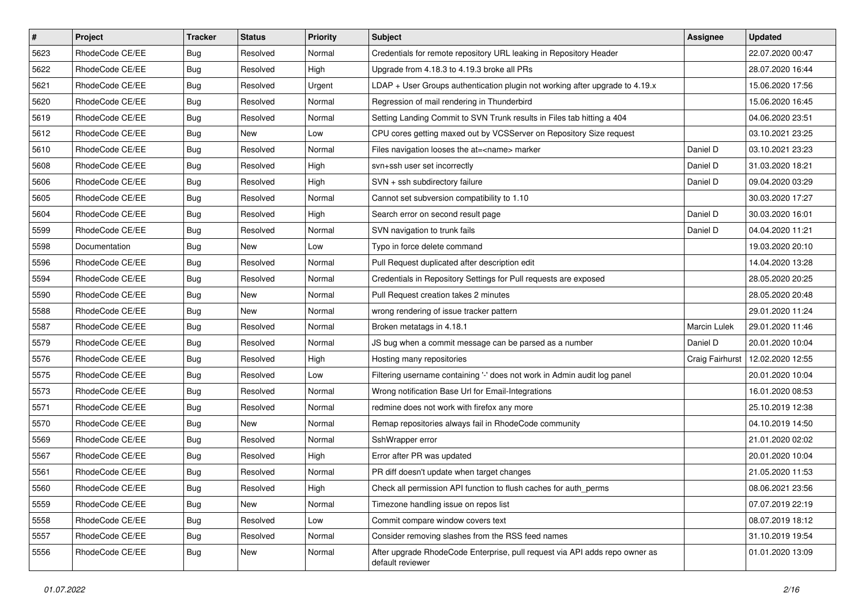| $\pmb{\#}$ | Project         | <b>Tracker</b> | <b>Status</b> | <b>Priority</b> | <b>Subject</b>                                                                                  | <b>Assignee</b> | <b>Updated</b>   |
|------------|-----------------|----------------|---------------|-----------------|-------------------------------------------------------------------------------------------------|-----------------|------------------|
| 5623       | RhodeCode CE/EE | <b>Bug</b>     | Resolved      | Normal          | Credentials for remote repository URL leaking in Repository Header                              |                 | 22.07.2020 00:47 |
| 5622       | RhodeCode CE/EE | <b>Bug</b>     | Resolved      | High            | Upgrade from 4.18.3 to 4.19.3 broke all PRs                                                     |                 | 28.07.2020 16:44 |
| 5621       | RhodeCode CE/EE | Bug            | Resolved      | Urgent          | LDAP + User Groups authentication plugin not working after upgrade to 4.19.x                    |                 | 15.06.2020 17:56 |
| 5620       | RhodeCode CE/EE | Bug            | Resolved      | Normal          | Regression of mail rendering in Thunderbird                                                     |                 | 15.06.2020 16:45 |
| 5619       | RhodeCode CE/EE | <b>Bug</b>     | Resolved      | Normal          | Setting Landing Commit to SVN Trunk results in Files tab hitting a 404                          |                 | 04.06.2020 23:51 |
| 5612       | RhodeCode CE/EE | Bug            | New           | Low             | CPU cores getting maxed out by VCSServer on Repository Size request                             |                 | 03.10.2021 23:25 |
| 5610       | RhodeCode CE/EE | Bug            | Resolved      | Normal          | Files navigation looses the at= <name> marker</name>                                            | Daniel D        | 03.10.2021 23:23 |
| 5608       | RhodeCode CE/EE | Bug            | Resolved      | High            | svn+ssh user set incorrectly                                                                    | Daniel D        | 31.03.2020 18:21 |
| 5606       | RhodeCode CE/EE | <b>Bug</b>     | Resolved      | High            | SVN + ssh subdirectory failure                                                                  | Daniel D        | 09.04.2020 03:29 |
| 5605       | RhodeCode CE/EE | <b>Bug</b>     | Resolved      | Normal          | Cannot set subversion compatibility to 1.10                                                     |                 | 30.03.2020 17:27 |
| 5604       | RhodeCode CE/EE | <b>Bug</b>     | Resolved      | High            | Search error on second result page                                                              | Daniel D        | 30.03.2020 16:01 |
| 5599       | RhodeCode CE/EE | <b>Bug</b>     | Resolved      | Normal          | SVN navigation to trunk fails                                                                   | Daniel D        | 04.04.2020 11:21 |
| 5598       | Documentation   | Bug            | New           | Low             | Typo in force delete command                                                                    |                 | 19.03.2020 20:10 |
| 5596       | RhodeCode CE/EE | <b>Bug</b>     | Resolved      | Normal          | Pull Request duplicated after description edit                                                  |                 | 14.04.2020 13:28 |
| 5594       | RhodeCode CE/EE | <b>Bug</b>     | Resolved      | Normal          | Credentials in Repository Settings for Pull requests are exposed                                |                 | 28.05.2020 20:25 |
| 5590       | RhodeCode CE/EE | <b>Bug</b>     | New           | Normal          | Pull Request creation takes 2 minutes                                                           |                 | 28.05.2020 20:48 |
| 5588       | RhodeCode CE/EE | <b>Bug</b>     | New           | Normal          | wrong rendering of issue tracker pattern                                                        |                 | 29.01.2020 11:24 |
| 5587       | RhodeCode CE/EE | <b>Bug</b>     | Resolved      | Normal          | Broken metatags in 4.18.1                                                                       | Marcin Lulek    | 29.01.2020 11:46 |
| 5579       | RhodeCode CE/EE | Bug            | Resolved      | Normal          | JS bug when a commit message can be parsed as a number                                          | Daniel D        | 20.01.2020 10:04 |
| 5576       | RhodeCode CE/EE | Bug            | Resolved      | High            | Hosting many repositories                                                                       | Craig Fairhurst | 12.02.2020 12:55 |
| 5575       | RhodeCode CE/EE | <b>Bug</b>     | Resolved      | Low             | Filtering username containing '-' does not work in Admin audit log panel                        |                 | 20.01.2020 10:04 |
| 5573       | RhodeCode CE/EE | <b>Bug</b>     | Resolved      | Normal          | Wrong notification Base Url for Email-Integrations                                              |                 | 16.01.2020 08:53 |
| 5571       | RhodeCode CE/EE | <b>Bug</b>     | Resolved      | Normal          | redmine does not work with firefox any more                                                     |                 | 25.10.2019 12:38 |
| 5570       | RhodeCode CE/EE | Bug            | New           | Normal          | Remap repositories always fail in RhodeCode community                                           |                 | 04.10.2019 14:50 |
| 5569       | RhodeCode CE/EE | <b>Bug</b>     | Resolved      | Normal          | SshWrapper error                                                                                |                 | 21.01.2020 02:02 |
| 5567       | RhodeCode CE/EE | Bug            | Resolved      | High            | Error after PR was updated                                                                      |                 | 20.01.2020 10:04 |
| 5561       | RhodeCode CE/EE | <b>Bug</b>     | Resolved      | Normal          | PR diff doesn't update when target changes                                                      |                 | 21.05.2020 11:53 |
| 5560       | RhodeCode CE/EE | <b>Bug</b>     | Resolved      | High            | Check all permission API function to flush caches for auth_perms                                |                 | 08.06.2021 23:56 |
| 5559       | RhodeCode CE/EE | Bug            | New           | Normal          | Timezone handling issue on repos list                                                           |                 | 07.07.2019 22:19 |
| 5558       | RhodeCode CE/EE | <b>Bug</b>     | Resolved      | Low             | Commit compare window covers text                                                               |                 | 08.07.2019 18:12 |
| 5557       | RhodeCode CE/EE | Bug            | Resolved      | Normal          | Consider removing slashes from the RSS feed names                                               |                 | 31.10.2019 19:54 |
| 5556       | RhodeCode CE/EE | <b>Bug</b>     | New           | Normal          | After upgrade RhodeCode Enterprise, pull request via API adds repo owner as<br>default reviewer |                 | 01.01.2020 13:09 |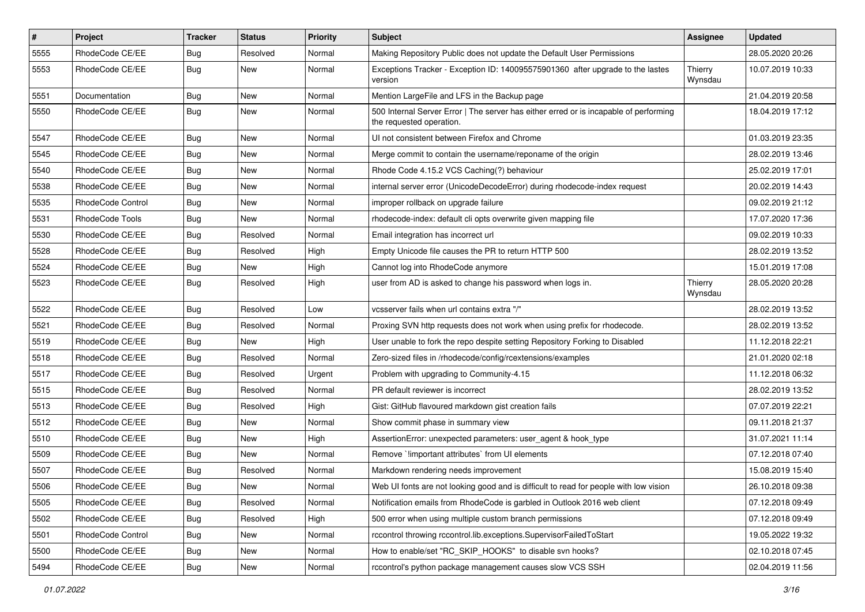| $\pmb{\#}$ | Project                | <b>Tracker</b> | <b>Status</b> | <b>Priority</b> | <b>Subject</b>                                                                                                    | <b>Assignee</b>    | <b>Updated</b>   |
|------------|------------------------|----------------|---------------|-----------------|-------------------------------------------------------------------------------------------------------------------|--------------------|------------------|
| 5555       | RhodeCode CE/EE        | <b>Bug</b>     | Resolved      | Normal          | Making Repository Public does not update the Default User Permissions                                             |                    | 28.05.2020 20:26 |
| 5553       | RhodeCode CE/EE        | Bug            | New           | Normal          | Exceptions Tracker - Exception ID: 140095575901360 after upgrade to the lastes<br>version                         | Thierry<br>Wynsdau | 10.07.2019 10:33 |
| 5551       | Documentation          | Bug            | New           | Normal          | Mention LargeFile and LFS in the Backup page                                                                      |                    | 21.04.2019 20:58 |
| 5550       | RhodeCode CE/EE        | Bug            | New           | Normal          | 500 Internal Server Error   The server has either erred or is incapable of performing<br>the requested operation. |                    | 18.04.2019 17:12 |
| 5547       | RhodeCode CE/EE        | Bug            | New           | Normal          | UI not consistent between Firefox and Chrome                                                                      |                    | 01.03.2019 23:35 |
| 5545       | RhodeCode CE/EE        | Bug            | <b>New</b>    | Normal          | Merge commit to contain the username/reponame of the origin                                                       |                    | 28.02.2019 13:46 |
| 5540       | RhodeCode CE/EE        | <b>Bug</b>     | New           | Normal          | Rhode Code 4.15.2 VCS Caching(?) behaviour                                                                        |                    | 25.02.2019 17:01 |
| 5538       | RhodeCode CE/EE        | <b>Bug</b>     | New           | Normal          | internal server error (UnicodeDecodeError) during rhodecode-index request                                         |                    | 20.02.2019 14:43 |
| 5535       | RhodeCode Control      | <b>Bug</b>     | New           | Normal          | improper rollback on upgrade failure                                                                              |                    | 09.02.2019 21:12 |
| 5531       | <b>RhodeCode Tools</b> | <b>Bug</b>     | New           | Normal          | rhodecode-index: default cli opts overwrite given mapping file                                                    |                    | 17.07.2020 17:36 |
| 5530       | RhodeCode CE/EE        | Bug            | Resolved      | Normal          | Email integration has incorrect url                                                                               |                    | 09.02.2019 10:33 |
| 5528       | RhodeCode CE/EE        | <b>Bug</b>     | Resolved      | High            | Empty Unicode file causes the PR to return HTTP 500                                                               |                    | 28.02.2019 13:52 |
| 5524       | RhodeCode CE/EE        | <b>Bug</b>     | New           | High            | Cannot log into RhodeCode anymore                                                                                 |                    | 15.01.2019 17:08 |
| 5523       | RhodeCode CE/EE        | Bug            | Resolved      | High            | user from AD is asked to change his password when logs in.                                                        | Thierry<br>Wynsdau | 28.05.2020 20:28 |
| 5522       | RhodeCode CE/EE        | Bug            | Resolved      | Low             | vcsserver fails when url contains extra "/"                                                                       |                    | 28.02.2019 13:52 |
| 5521       | RhodeCode CE/EE        | Bug            | Resolved      | Normal          | Proxing SVN http requests does not work when using prefix for rhodecode.                                          |                    | 28.02.2019 13:52 |
| 5519       | RhodeCode CE/EE        | <b>Bug</b>     | New           | High            | User unable to fork the repo despite setting Repository Forking to Disabled                                       |                    | 11.12.2018 22:21 |
| 5518       | RhodeCode CE/EE        | Bug            | Resolved      | Normal          | Zero-sized files in /rhodecode/config/rcextensions/examples                                                       |                    | 21.01.2020 02:18 |
| 5517       | RhodeCode CE/EE        | <b>Bug</b>     | Resolved      | Urgent          | Problem with upgrading to Community-4.15                                                                          |                    | 11.12.2018 06:32 |
| 5515       | RhodeCode CE/EE        | <b>Bug</b>     | Resolved      | Normal          | PR default reviewer is incorrect                                                                                  |                    | 28.02.2019 13:52 |
| 5513       | RhodeCode CE/EE        | <b>Bug</b>     | Resolved      | High            | Gist: GitHub flavoured markdown gist creation fails                                                               |                    | 07.07.2019 22:21 |
| 5512       | RhodeCode CE/EE        | <b>Bug</b>     | New           | Normal          | Show commit phase in summary view                                                                                 |                    | 09.11.2018 21:37 |
| 5510       | RhodeCode CE/EE        | Bug            | New           | High            | AssertionError: unexpected parameters: user_agent & hook_type                                                     |                    | 31.07.2021 11:14 |
| 5509       | RhodeCode CE/EE        | Bug            | New           | Normal          | Remove `!important attributes` from UI elements                                                                   |                    | 07.12.2018 07:40 |
| 5507       | RhodeCode CE/EE        | <b>Bug</b>     | Resolved      | Normal          | Markdown rendering needs improvement                                                                              |                    | 15.08.2019 15:40 |
| 5506       | RhodeCode CE/EE        | Bug            | New           | Normal          | Web UI fonts are not looking good and is difficult to read for people with low vision                             |                    | 26.10.2018 09:38 |
| 5505       | RhodeCode CE/EE        | Bug            | Resolved      | Normal          | Notification emails from RhodeCode is garbled in Outlook 2016 web client                                          |                    | 07.12.2018 09:49 |
| 5502       | RhodeCode CE/EE        | Bug            | Resolved      | High            | 500 error when using multiple custom branch permissions                                                           |                    | 07.12.2018 09:49 |
| 5501       | RhodeCode Control      | Bug            | New           | Normal          | rccontrol throwing rccontrol.lib.exceptions.SupervisorFailedToStart                                               |                    | 19.05.2022 19:32 |
| 5500       | RhodeCode CE/EE        | Bug            | New           | Normal          | How to enable/set "RC_SKIP_HOOKS" to disable svn hooks?                                                           |                    | 02.10.2018 07:45 |
| 5494       | RhodeCode CE/EE        | <b>Bug</b>     | New           | Normal          | rccontrol's python package management causes slow VCS SSH                                                         |                    | 02.04.2019 11:56 |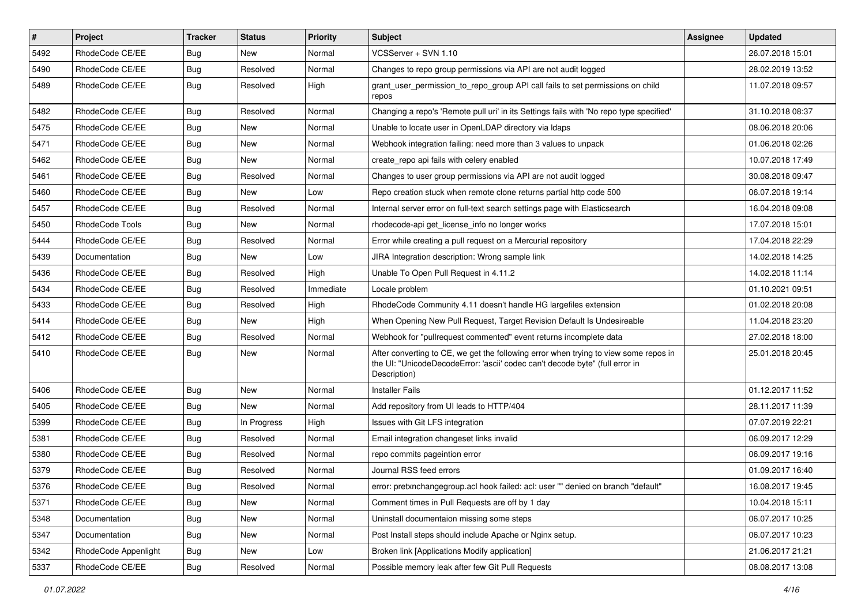| $\vert$ # | Project              | <b>Tracker</b> | <b>Status</b> | <b>Priority</b> | <b>Subject</b>                                                                                                                                                                       | <b>Assignee</b> | <b>Updated</b>   |
|-----------|----------------------|----------------|---------------|-----------------|--------------------------------------------------------------------------------------------------------------------------------------------------------------------------------------|-----------------|------------------|
| 5492      | RhodeCode CE/EE      | Bug            | New           | Normal          | VCSServer + SVN 1.10                                                                                                                                                                 |                 | 26.07.2018 15:01 |
| 5490      | RhodeCode CE/EE      | Bug            | Resolved      | Normal          | Changes to repo group permissions via API are not audit logged                                                                                                                       |                 | 28.02.2019 13:52 |
| 5489      | RhodeCode CE/EE      | Bug            | Resolved      | High            | grant_user_permission_to_repo_group API call fails to set permissions on child<br>repos                                                                                              |                 | 11.07.2018 09:57 |
| 5482      | RhodeCode CE/EE      | Bug            | Resolved      | Normal          | Changing a repo's 'Remote pull uri' in its Settings fails with 'No repo type specified'                                                                                              |                 | 31.10.2018 08:37 |
| 5475      | RhodeCode CE/EE      | Bug            | New           | Normal          | Unable to locate user in OpenLDAP directory via Idaps                                                                                                                                |                 | 08.06.2018 20:06 |
| 5471      | RhodeCode CE/EE      | Bug            | New           | Normal          | Webhook integration failing: need more than 3 values to unpack                                                                                                                       |                 | 01.06.2018 02:26 |
| 5462      | RhodeCode CE/EE      | <b>Bug</b>     | <b>New</b>    | Normal          | create_repo api fails with celery enabled                                                                                                                                            |                 | 10.07.2018 17:49 |
| 5461      | RhodeCode CE/EE      | <b>Bug</b>     | Resolved      | Normal          | Changes to user group permissions via API are not audit logged                                                                                                                       |                 | 30.08.2018 09:47 |
| 5460      | RhodeCode CE/EE      | Bug            | <b>New</b>    | Low             | Repo creation stuck when remote clone returns partial http code 500                                                                                                                  |                 | 06.07.2018 19:14 |
| 5457      | RhodeCode CE/EE      | <b>Bug</b>     | Resolved      | Normal          | Internal server error on full-text search settings page with Elasticsearch                                                                                                           |                 | 16.04.2018 09:08 |
| 5450      | RhodeCode Tools      | Bug            | New           | Normal          | rhodecode-api get license info no longer works                                                                                                                                       |                 | 17.07.2018 15:01 |
| 5444      | RhodeCode CE/EE      | <b>Bug</b>     | Resolved      | Normal          | Error while creating a pull request on a Mercurial repository                                                                                                                        |                 | 17.04.2018 22:29 |
| 5439      | Documentation        | Bug            | New           | Low             | JIRA Integration description: Wrong sample link                                                                                                                                      |                 | 14.02.2018 14:25 |
| 5436      | RhodeCode CE/EE      | Bug            | Resolved      | High            | Unable To Open Pull Request in 4.11.2                                                                                                                                                |                 | 14.02.2018 11:14 |
| 5434      | RhodeCode CE/EE      | Bug            | Resolved      | Immediate       | Locale problem                                                                                                                                                                       |                 | 01.10.2021 09:51 |
| 5433      | RhodeCode CE/EE      | Bug            | Resolved      | High            | RhodeCode Community 4.11 doesn't handle HG largefiles extension                                                                                                                      |                 | 01.02.2018 20:08 |
| 5414      | RhodeCode CE/EE      | Bug            | <b>New</b>    | High            | When Opening New Pull Request, Target Revision Default Is Undesireable                                                                                                               |                 | 11.04.2018 23:20 |
| 5412      | RhodeCode CE/EE      | Bug            | Resolved      | Normal          | Webhook for "pullrequest commented" event returns incomplete data                                                                                                                    |                 | 27.02.2018 18:00 |
| 5410      | RhodeCode CE/EE      | Bug            | New           | Normal          | After converting to CE, we get the following error when trying to view some repos in<br>the UI: "UnicodeDecodeError: 'ascii' codec can't decode byte" (full error in<br>Description) |                 | 25.01.2018 20:45 |
| 5406      | RhodeCode CE/EE      | Bug            | <b>New</b>    | Normal          | <b>Installer Fails</b>                                                                                                                                                               |                 | 01.12.2017 11:52 |
| 5405      | RhodeCode CE/EE      | Bug            | New           | Normal          | Add repository from UI leads to HTTP/404                                                                                                                                             |                 | 28.11.2017 11:39 |
| 5399      | RhodeCode CE/EE      | <b>Bug</b>     | In Progress   | High            | Issues with Git LFS integration                                                                                                                                                      |                 | 07.07.2019 22:21 |
| 5381      | RhodeCode CE/EE      | <b>Bug</b>     | Resolved      | Normal          | Email integration changeset links invalid                                                                                                                                            |                 | 06.09.2017 12:29 |
| 5380      | RhodeCode CE/EE      | Bug            | Resolved      | Normal          | repo commits pageintion error                                                                                                                                                        |                 | 06.09.2017 19:16 |
| 5379      | RhodeCode CE/EE      | Bug            | Resolved      | Normal          | Journal RSS feed errors                                                                                                                                                              |                 | 01.09.2017 16:40 |
| 5376      | RhodeCode CE/EE      | Bug            | Resolved      | Normal          | error: pretxnchangegroup.acl hook failed: acl: user "" denied on branch "default"                                                                                                    |                 | 16.08.2017 19:45 |
| 5371      | RhodeCode CE/EE      | Bug            | New           | Normal          | Comment times in Pull Requests are off by 1 day                                                                                                                                      |                 | 10.04.2018 15:11 |
| 5348      | Documentation        | Bug            | New           | Normal          | Uninstall documentaion missing some steps                                                                                                                                            |                 | 06.07.2017 10:25 |
| 5347      | Documentation        | <b>Bug</b>     | New           | Normal          | Post Install steps should include Apache or Nginx setup.                                                                                                                             |                 | 06.07.2017 10:23 |
| 5342      | RhodeCode Appenlight | Bug            | New           | Low             | Broken link [Applications Modify application]                                                                                                                                        |                 | 21.06.2017 21:21 |
| 5337      | RhodeCode CE/EE      | <b>Bug</b>     | Resolved      | Normal          | Possible memory leak after few Git Pull Requests                                                                                                                                     |                 | 08.08.2017 13:08 |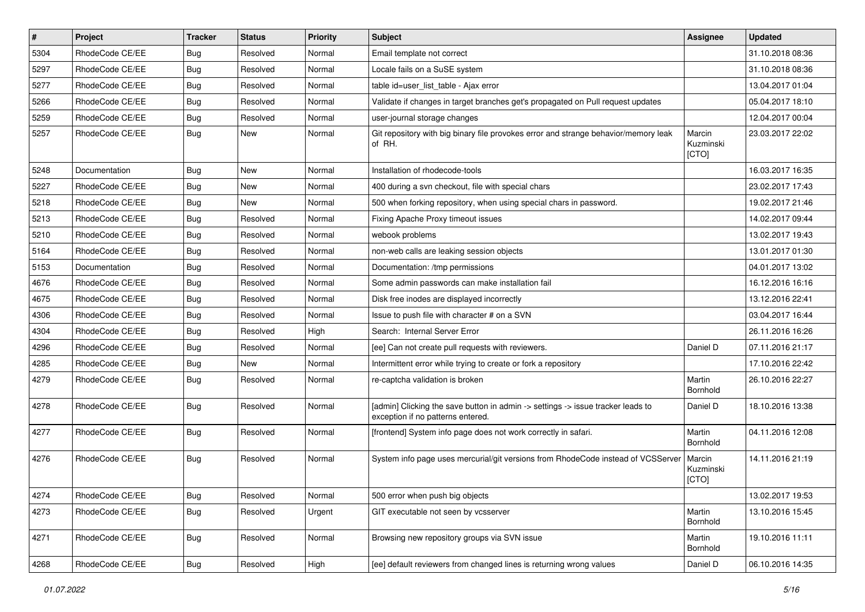| #    | Project         | <b>Tracker</b> | <b>Status</b> | <b>Priority</b> | <b>Subject</b>                                                                                                       | <b>Assignee</b>              | <b>Updated</b>   |
|------|-----------------|----------------|---------------|-----------------|----------------------------------------------------------------------------------------------------------------------|------------------------------|------------------|
| 5304 | RhodeCode CE/EE | Bug            | Resolved      | Normal          | Email template not correct                                                                                           |                              | 31.10.2018 08:36 |
| 5297 | RhodeCode CE/EE | Bug            | Resolved      | Normal          | Locale fails on a SuSE system                                                                                        |                              | 31.10.2018 08:36 |
| 5277 | RhodeCode CE/EE | Bug            | Resolved      | Normal          | table id=user_list_table - Ajax error                                                                                |                              | 13.04.2017 01:04 |
| 5266 | RhodeCode CE/EE | Bug            | Resolved      | Normal          | Validate if changes in target branches get's propagated on Pull request updates                                      |                              | 05.04.2017 18:10 |
| 5259 | RhodeCode CE/EE | Bug            | Resolved      | Normal          | user-journal storage changes                                                                                         |                              | 12.04.2017 00:04 |
| 5257 | RhodeCode CE/EE | Bug            | New           | Normal          | Git repository with big binary file provokes error and strange behavior/memory leak<br>of RH.                        | Marcin<br>Kuzminski<br>[CTO] | 23.03.2017 22:02 |
| 5248 | Documentation   | Bug            | New           | Normal          | Installation of rhodecode-tools                                                                                      |                              | 16.03.2017 16:35 |
| 5227 | RhodeCode CE/EE | Bug            | <b>New</b>    | Normal          | 400 during a svn checkout, file with special chars                                                                   |                              | 23.02.2017 17:43 |
| 5218 | RhodeCode CE/EE | Bug            | New           | Normal          | 500 when forking repository, when using special chars in password.                                                   |                              | 19.02.2017 21:46 |
| 5213 | RhodeCode CE/EE | Bug            | Resolved      | Normal          | Fixing Apache Proxy timeout issues                                                                                   |                              | 14.02.2017 09:44 |
| 5210 | RhodeCode CE/EE | Bug            | Resolved      | Normal          | webook problems                                                                                                      |                              | 13.02.2017 19:43 |
| 5164 | RhodeCode CE/EE | Bug            | Resolved      | Normal          | non-web calls are leaking session objects                                                                            |                              | 13.01.2017 01:30 |
| 5153 | Documentation   | Bug            | Resolved      | Normal          | Documentation: /tmp permissions                                                                                      |                              | 04.01.2017 13:02 |
| 4676 | RhodeCode CE/EE | Bug            | Resolved      | Normal          | Some admin passwords can make installation fail                                                                      |                              | 16.12.2016 16:16 |
| 4675 | RhodeCode CE/EE | Bug            | Resolved      | Normal          | Disk free inodes are displayed incorrectly                                                                           |                              | 13.12.2016 22:41 |
| 4306 | RhodeCode CE/EE | Bug            | Resolved      | Normal          | Issue to push file with character # on a SVN                                                                         |                              | 03.04.2017 16:44 |
| 4304 | RhodeCode CE/EE | Bug            | Resolved      | High            | Search: Internal Server Error                                                                                        |                              | 26.11.2016 16:26 |
| 4296 | RhodeCode CE/EE | Bug            | Resolved      | Normal          | [ee] Can not create pull requests with reviewers.                                                                    | Daniel D                     | 07.11.2016 21:17 |
| 4285 | RhodeCode CE/EE | Bug            | <b>New</b>    | Normal          | Intermittent error while trying to create or fork a repository                                                       |                              | 17.10.2016 22:42 |
| 4279 | RhodeCode CE/EE | Bug            | Resolved      | Normal          | re-captcha validation is broken                                                                                      | Martin<br><b>Bornhold</b>    | 26.10.2016 22:27 |
| 4278 | RhodeCode CE/EE | Bug            | Resolved      | Normal          | [admin] Clicking the save button in admin -> settings -> issue tracker leads to<br>exception if no patterns entered. | Daniel D                     | 18.10.2016 13:38 |
| 4277 | RhodeCode CE/EE | Bug            | Resolved      | Normal          | [frontend] System info page does not work correctly in safari.                                                       | Martin<br>Bornhold           | 04.11.2016 12:08 |
| 4276 | RhodeCode CE/EE | <b>Bug</b>     | Resolved      | Normal          | System info page uses mercurial/git versions from RhodeCode instead of VCSServer                                     | Marcin<br>Kuzminski<br>[CTO] | 14.11.2016 21:19 |
| 4274 | RhodeCode CE/EE | <b>Bug</b>     | Resolved      | Normal          | 500 error when push big objects                                                                                      |                              | 13.02.2017 19:53 |
| 4273 | RhodeCode CE/EE | Bug            | Resolved      | Urgent          | GIT executable not seen by vcsserver                                                                                 | Martin<br>Bornhold           | 13.10.2016 15:45 |
| 4271 | RhodeCode CE/EE | Bug            | Resolved      | Normal          | Browsing new repository groups via SVN issue                                                                         | Martin<br>Bornhold           | 19.10.2016 11:11 |
| 4268 | RhodeCode CE/EE | <b>Bug</b>     | Resolved      | High            | [ee] default reviewers from changed lines is returning wrong values                                                  | Daniel D                     | 06.10.2016 14:35 |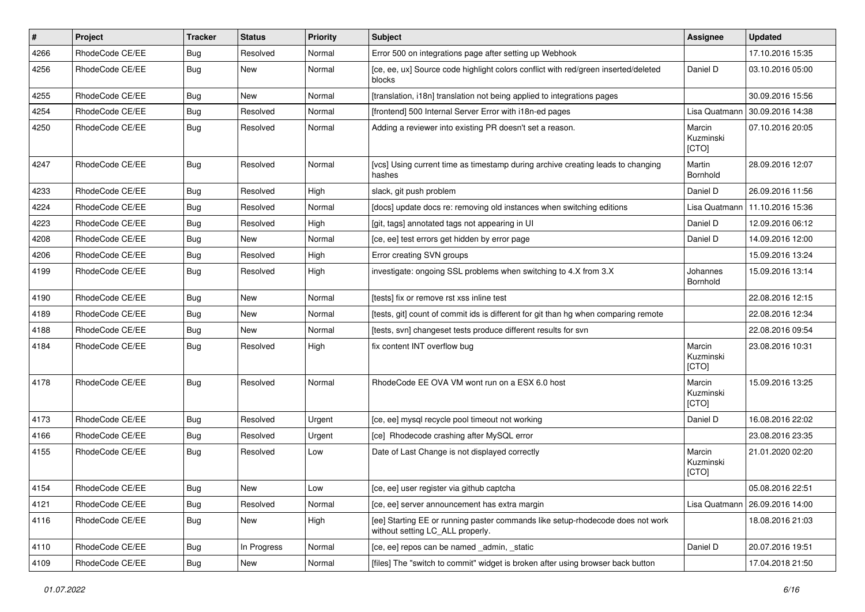| $\vert$ # | Project         | <b>Tracker</b> | <b>Status</b> | <b>Priority</b> | <b>Subject</b>                                                                                                     | <b>Assignee</b>              | <b>Updated</b>   |
|-----------|-----------------|----------------|---------------|-----------------|--------------------------------------------------------------------------------------------------------------------|------------------------------|------------------|
| 4266      | RhodeCode CE/EE | <b>Bug</b>     | Resolved      | Normal          | Error 500 on integrations page after setting up Webhook                                                            |                              | 17.10.2016 15:35 |
| 4256      | RhodeCode CE/EE | <b>Bug</b>     | New           | Normal          | [ce, ee, ux] Source code highlight colors conflict with red/green inserted/deleted<br>blocks                       | Daniel D                     | 03.10.2016 05:00 |
| 4255      | RhodeCode CE/EE | <b>Bug</b>     | New           | Normal          | [translation, i18n] translation not being applied to integrations pages                                            |                              | 30.09.2016 15:56 |
| 4254      | RhodeCode CE/EE | Bug            | Resolved      | Normal          | [frontend] 500 Internal Server Error with i18n-ed pages                                                            | Lisa Quatmann                | 30.09.2016 14:38 |
| 4250      | RhodeCode CE/EE | <b>Bug</b>     | Resolved      | Normal          | Adding a reviewer into existing PR doesn't set a reason.                                                           | Marcin<br>Kuzminski<br>[CTO] | 07.10.2016 20:05 |
| 4247      | RhodeCode CE/EE | <b>Bug</b>     | Resolved      | Normal          | [vcs] Using current time as timestamp during archive creating leads to changing<br>hashes                          | Martin<br>Bornhold           | 28.09.2016 12:07 |
| 4233      | RhodeCode CE/EE | <b>Bug</b>     | Resolved      | High            | slack, git push problem                                                                                            | Daniel D                     | 26.09.2016 11:56 |
| 4224      | RhodeCode CE/EE | <b>Bug</b>     | Resolved      | Normal          | [docs] update docs re: removing old instances when switching editions                                              | Lisa Quatmann                | 11.10.2016 15:36 |
| 4223      | RhodeCode CE/EE | Bug            | Resolved      | High            | [git, tags] annotated tags not appearing in UI                                                                     | Daniel D                     | 12.09.2016 06:12 |
| 4208      | RhodeCode CE/EE | <b>Bug</b>     | New           | Normal          | [ce, ee] test errors get hidden by error page                                                                      | Daniel D                     | 14.09.2016 12:00 |
| 4206      | RhodeCode CE/EE | Bug            | Resolved      | High            | Error creating SVN groups                                                                                          |                              | 15.09.2016 13:24 |
| 4199      | RhodeCode CE/EE | Bug            | Resolved      | High            | investigate: ongoing SSL problems when switching to 4.X from 3.X                                                   | Johannes<br>Bornhold         | 15.09.2016 13:14 |
| 4190      | RhodeCode CE/EE | Bug            | New           | Normal          | [tests] fix or remove rst xss inline test                                                                          |                              | 22.08.2016 12:15 |
| 4189      | RhodeCode CE/EE | Bug            | New           | Normal          | [tests, git] count of commit ids is different for git than hg when comparing remote                                |                              | 22.08.2016 12:34 |
| 4188      | RhodeCode CE/EE | Bug            | New           | Normal          | [tests, svn] changeset tests produce different results for svn                                                     |                              | 22.08.2016 09:54 |
| 4184      | RhodeCode CE/EE | Bug            | Resolved      | High            | fix content INT overflow bug                                                                                       | Marcin<br>Kuzminski<br>[CTO] | 23.08.2016 10:31 |
| 4178      | RhodeCode CE/EE | Bug            | Resolved      | Normal          | RhodeCode EE OVA VM wont run on a ESX 6.0 host                                                                     | Marcin<br>Kuzminski<br>[CTO] | 15.09.2016 13:25 |
| 4173      | RhodeCode CE/EE | Bug            | Resolved      | Urgent          | [ce, ee] mysql recycle pool timeout not working                                                                    | Daniel D                     | 16.08.2016 22:02 |
| 4166      | RhodeCode CE/EE | Bug            | Resolved      | Urgent          | [ce] Rhodecode crashing after MySQL error                                                                          |                              | 23.08.2016 23:35 |
| 4155      | RhodeCode CE/EE | Bug            | Resolved      | Low             | Date of Last Change is not displayed correctly                                                                     | Marcin<br>Kuzminski<br>[CTO] | 21.01.2020 02:20 |
| 4154      | RhodeCode CE/EE | <b>Bug</b>     | New           | Low             | [ce, ee] user register via github captcha                                                                          |                              | 05.08.2016 22:51 |
| 4121      | RhodeCode CE/EE | Bug            | Resolved      | Normal          | [ce, ee] server announcement has extra margin                                                                      | Lisa Quatmann                | 26.09.2016 14:00 |
| 4116      | RhodeCode CE/EE | Bug            | New           | High            | [ee] Starting EE or running paster commands like setup-rhodecode does not work<br>without setting LC_ALL properly. |                              | 18.08.2016 21:03 |
| 4110      | RhodeCode CE/EE | <b>Bug</b>     | In Progress   | Normal          | [ce, ee] repos can be named _admin, _static                                                                        | Daniel D                     | 20.07.2016 19:51 |
| 4109      | RhodeCode CE/EE | <b>Bug</b>     | New           | Normal          | [files] The "switch to commit" widget is broken after using browser back button                                    |                              | 17.04.2018 21:50 |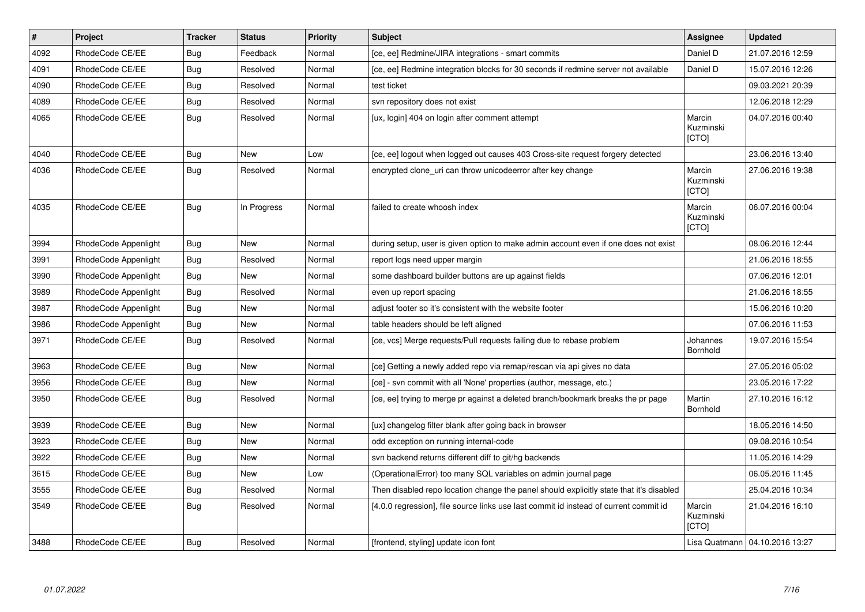| $\vert$ # | <b>Project</b>       | <b>Tracker</b> | <b>Status</b> | <b>Priority</b> | <b>Subject</b>                                                                          | <b>Assignee</b>                     | <b>Updated</b>                   |
|-----------|----------------------|----------------|---------------|-----------------|-----------------------------------------------------------------------------------------|-------------------------------------|----------------------------------|
| 4092      | RhodeCode CE/EE      | <b>Bug</b>     | Feedback      | Normal          | [ce, ee] Redmine/JIRA integrations - smart commits                                      | Daniel D                            | 21.07.2016 12:59                 |
| 4091      | RhodeCode CE/EE      | Bug            | Resolved      | Normal          | [ce, ee] Redmine integration blocks for 30 seconds if redmine server not available      | Daniel D                            | 15.07.2016 12:26                 |
| 4090      | RhodeCode CE/EE      | Bug            | Resolved      | Normal          | test ticket                                                                             |                                     | 09.03.2021 20:39                 |
| 4089      | RhodeCode CE/EE      | <b>Bug</b>     | Resolved      | Normal          | svn repository does not exist                                                           |                                     | 12.06.2018 12:29                 |
| 4065      | RhodeCode CE/EE      | <b>Bug</b>     | Resolved      | Normal          | [ux, login] 404 on login after comment attempt                                          | Marcin<br>Kuzminski<br>[CTO]        | 04.07.2016 00:40                 |
| 4040      | RhodeCode CE/EE      | Bug            | <b>New</b>    | Low             | [ce, ee] logout when logged out causes 403 Cross-site request forgery detected          |                                     | 23.06.2016 13:40                 |
| 4036      | RhodeCode CE/EE      | Bug            | Resolved      | Normal          | encrypted clone_uri can throw unicodeerror after key change                             | Marcin<br>Kuzminski<br><b>ICTOI</b> | 27.06.2016 19:38                 |
| 4035      | RhodeCode CE/EE      | Bug            | In Progress   | Normal          | failed to create whoosh index                                                           | Marcin<br>Kuzminski<br>[CTO]        | 06.07.2016 00:04                 |
| 3994      | RhodeCode Appenlight | <b>Bug</b>     | <b>New</b>    | Normal          | during setup, user is given option to make admin account even if one does not exist     |                                     | 08.06.2016 12:44                 |
| 3991      | RhodeCode Appenlight | Bug            | Resolved      | Normal          | report logs need upper margin                                                           |                                     | 21.06.2016 18:55                 |
| 3990      | RhodeCode Appenlight | Bug            | <b>New</b>    | Normal          | some dashboard builder buttons are up against fields                                    |                                     | 07.06.2016 12:01                 |
| 3989      | RhodeCode Appenlight | Bug            | Resolved      | Normal          | even up report spacing                                                                  |                                     | 21.06.2016 18:55                 |
| 3987      | RhodeCode Appenlight | Bug            | <b>New</b>    | Normal          | adjust footer so it's consistent with the website footer                                |                                     | 15.06.2016 10:20                 |
| 3986      | RhodeCode Appenlight | <b>Bug</b>     | <b>New</b>    | Normal          | table headers should be left aligned                                                    |                                     | 07.06.2016 11:53                 |
| 3971      | RhodeCode CE/EE      | Bug            | Resolved      | Normal          | [ce, vcs] Merge requests/Pull requests failing due to rebase problem                    | Johannes<br>Bornhold                | 19.07.2016 15:54                 |
| 3963      | RhodeCode CE/EE      | Bug            | <b>New</b>    | Normal          | [ce] Getting a newly added repo via remap/rescan via api gives no data                  |                                     | 27.05.2016 05:02                 |
| 3956      | RhodeCode CE/EE      | <b>Bug</b>     | <b>New</b>    | Normal          | [ce] - svn commit with all 'None' properties (author, message, etc.)                    |                                     | 23.05.2016 17:22                 |
| 3950      | RhodeCode CE/EE      | Bug            | Resolved      | Normal          | [ce, ee] trying to merge pr against a deleted branch/bookmark breaks the pr page        | Martin<br><b>Bornhold</b>           | 27.10.2016 16:12                 |
| 3939      | RhodeCode CE/EE      | <b>Bug</b>     | <b>New</b>    | Normal          | [ux] changelog filter blank after going back in browser                                 |                                     | 18.05.2016 14:50                 |
| 3923      | RhodeCode CE/EE      | Bug            | New           | Normal          | odd exception on running internal-code                                                  |                                     | 09.08.2016 10:54                 |
| 3922      | RhodeCode CE/EE      | <b>Bug</b>     | New           | Normal          | svn backend returns different diff to git/hg backends                                   |                                     | 11.05.2016 14:29                 |
| 3615      | RhodeCode CE/EE      | Bug            | New           | Low             | (OperationalError) too many SQL variables on admin journal page                         |                                     | 06.05.2016 11:45                 |
| 3555      | RhodeCode CE/EE      | Bug            | Resolved      | Normal          | Then disabled repo location change the panel should explicitly state that it's disabled |                                     | 25.04.2016 10:34                 |
| 3549      | RhodeCode CE/EE      | <b>Bug</b>     | Resolved      | Normal          | [4.0.0 regression], file source links use last commit id instead of current commit id   | Marcin<br>Kuzminski<br><b>ICTOI</b> | 21.04.2016 16:10                 |
| 3488      | RhodeCode CE/EE      | Bug            | Resolved      | Normal          | [frontend, styling] update icon font                                                    |                                     | Lisa Quatmann   04.10.2016 13:27 |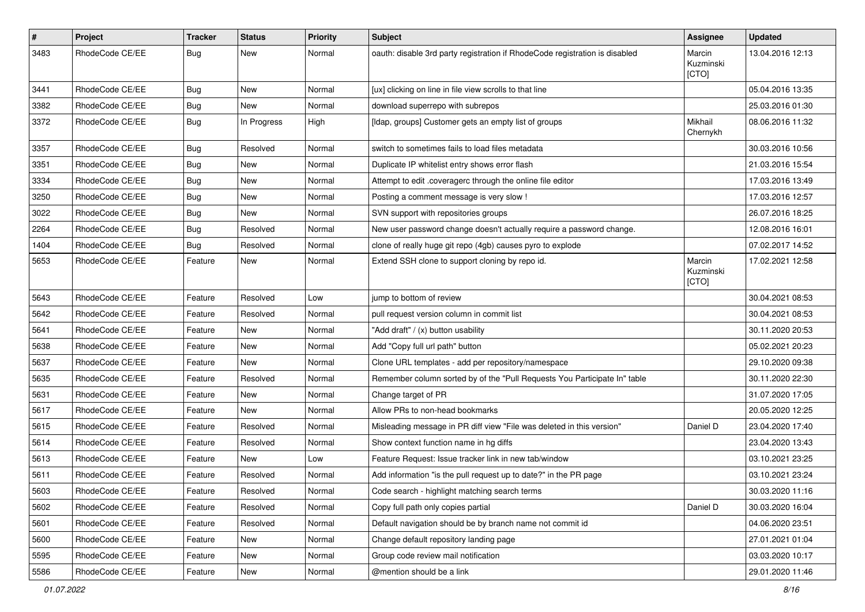| $\#$ | Project         | Tracker    | <b>Status</b> | <b>Priority</b> | <b>Subject</b>                                                              | Assignee                     | <b>Updated</b>   |
|------|-----------------|------------|---------------|-----------------|-----------------------------------------------------------------------------|------------------------------|------------------|
| 3483 | RhodeCode CE/EE | Bug        | New           | Normal          | oauth: disable 3rd party registration if RhodeCode registration is disabled | Marcin<br>Kuzminski<br>[CTO] | 13.04.2016 12:13 |
| 3441 | RhodeCode CE/EE | <b>Bug</b> | New           | Normal          | [ux] clicking on line in file view scrolls to that line                     |                              | 05.04.2016 13:35 |
| 3382 | RhodeCode CE/EE | <b>Bug</b> | New           | Normal          | download superrepo with subrepos                                            |                              | 25.03.2016 01:30 |
| 3372 | RhodeCode CE/EE | <b>Bug</b> | In Progress   | High            | [Idap, groups] Customer gets an empty list of groups                        | Mikhail<br>Chernykh          | 08.06.2016 11:32 |
| 3357 | RhodeCode CE/EE | Bug        | Resolved      | Normal          | switch to sometimes fails to load files metadata                            |                              | 30.03.2016 10:56 |
| 3351 | RhodeCode CE/EE | <b>Bug</b> | New           | Normal          | Duplicate IP whitelist entry shows error flash                              |                              | 21.03.2016 15:54 |
| 3334 | RhodeCode CE/EE | Bug        | New           | Normal          | Attempt to edit .coveragerc through the online file editor                  |                              | 17.03.2016 13:49 |
| 3250 | RhodeCode CE/EE | <b>Bug</b> | New           | Normal          | Posting a comment message is very slow !                                    |                              | 17.03.2016 12:57 |
| 3022 | RhodeCode CE/EE | <b>Bug</b> | New           | Normal          | SVN support with repositories groups                                        |                              | 26.07.2016 18:25 |
| 2264 | RhodeCode CE/EE | <b>Bug</b> | Resolved      | Normal          | New user password change doesn't actually require a password change.        |                              | 12.08.2016 16:01 |
| 1404 | RhodeCode CE/EE | <b>Bug</b> | Resolved      | Normal          | clone of really huge git repo (4gb) causes pyro to explode                  |                              | 07.02.2017 14:52 |
| 5653 | RhodeCode CE/EE | Feature    | New           | Normal          | Extend SSH clone to support cloning by repo id.                             | Marcin<br>Kuzminski<br>[CTO] | 17.02.2021 12:58 |
| 5643 | RhodeCode CE/EE | Feature    | Resolved      | Low             | jump to bottom of review                                                    |                              | 30.04.2021 08:53 |
| 5642 | RhodeCode CE/EE | Feature    | Resolved      | Normal          | pull request version column in commit list                                  |                              | 30.04.2021 08:53 |
| 5641 | RhodeCode CE/EE | Feature    | New           | Normal          | "Add draft" / (x) button usability                                          |                              | 30.11.2020 20:53 |
| 5638 | RhodeCode CE/EE | Feature    | New           | Normal          | Add "Copy full url path" button                                             |                              | 05.02.2021 20:23 |
| 5637 | RhodeCode CE/EE | Feature    | New           | Normal          | Clone URL templates - add per repository/namespace                          |                              | 29.10.2020 09:38 |
| 5635 | RhodeCode CE/EE | Feature    | Resolved      | Normal          | Remember column sorted by of the "Pull Requests You Participate In" table   |                              | 30.11.2020 22:30 |
| 5631 | RhodeCode CE/EE | Feature    | New           | Normal          | Change target of PR                                                         |                              | 31.07.2020 17:05 |
| 5617 | RhodeCode CE/EE | Feature    | New           | Normal          | Allow PRs to non-head bookmarks                                             |                              | 20.05.2020 12:25 |
| 5615 | RhodeCode CE/EE | Feature    | Resolved      | Normal          | Misleading message in PR diff view "File was deleted in this version"       | Daniel D                     | 23.04.2020 17:40 |
| 5614 | RhodeCode CE/EE | Feature    | Resolved      | Normal          | Show context function name in hg diffs                                      |                              | 23.04.2020 13:43 |
| 5613 | RhodeCode CE/EE | Feature    | New           | Low             | Feature Request: Issue tracker link in new tab/window                       |                              | 03.10.2021 23:25 |
| 5611 | RhodeCode CE/EE | Feature    | Resolved      | Normal          | Add information "is the pull request up to date?" in the PR page            |                              | 03.10.2021 23:24 |
| 5603 | RhodeCode CE/EE | Feature    | Resolved      | Normal          | Code search - highlight matching search terms                               |                              | 30.03.2020 11:16 |
| 5602 | RhodeCode CE/EE | Feature    | Resolved      | Normal          | Copy full path only copies partial                                          | Daniel D                     | 30.03.2020 16:04 |
| 5601 | RhodeCode CE/EE | Feature    | Resolved      | Normal          | Default navigation should be by branch name not commit id                   |                              | 04.06.2020 23:51 |
| 5600 | RhodeCode CE/EE | Feature    | New           | Normal          | Change default repository landing page                                      |                              | 27.01.2021 01:04 |
| 5595 | RhodeCode CE/EE | Feature    | New           | Normal          | Group code review mail notification                                         |                              | 03.03.2020 10:17 |
| 5586 | RhodeCode CE/EE | Feature    | New           | Normal          | @mention should be a link                                                   |                              | 29.01.2020 11:46 |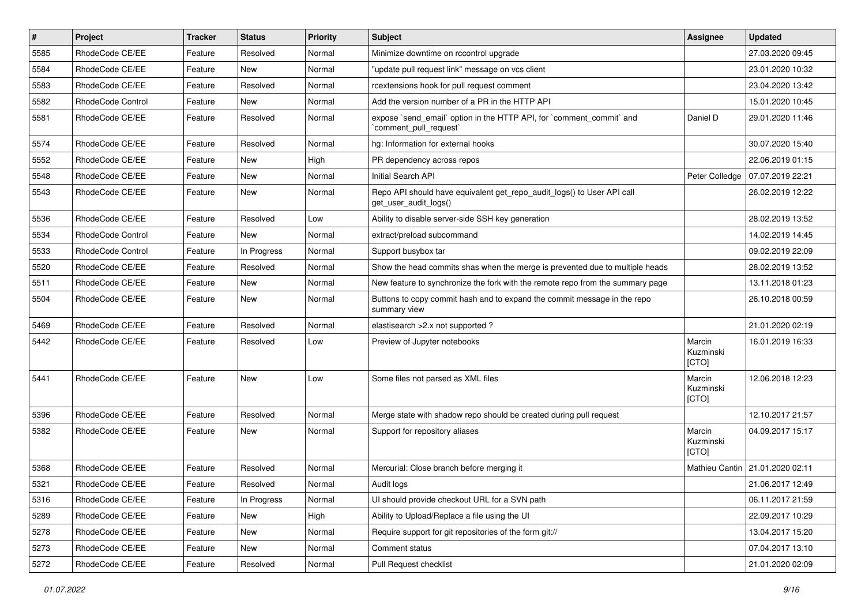| $\pmb{\#}$ | <b>Project</b>           | <b>Tracker</b> | <b>Status</b> | <b>Priority</b> | <b>Subject</b>                                                                                  | <b>Assignee</b>              | <b>Updated</b>                  |
|------------|--------------------------|----------------|---------------|-----------------|-------------------------------------------------------------------------------------------------|------------------------------|---------------------------------|
| 5585       | RhodeCode CE/EE          | Feature        | Resolved      | Normal          | Minimize downtime on rccontrol upgrade                                                          |                              | 27.03.2020 09:45                |
| 5584       | RhodeCode CE/EE          | Feature        | <b>New</b>    | Normal          | "update pull request link" message on vcs client                                                |                              | 23.01.2020 10:32                |
| 5583       | RhodeCode CE/EE          | Feature        | Resolved      | Normal          | rcextensions hook for pull request comment                                                      |                              | 23.04.2020 13:42                |
| 5582       | <b>RhodeCode Control</b> | Feature        | New           | Normal          | Add the version number of a PR in the HTTP API                                                  |                              | 15.01.2020 10:45                |
| 5581       | RhodeCode CE/EE          | Feature        | Resolved      | Normal          | expose `send_email` option in the HTTP API, for `comment_commit` and<br>comment pull request    | Daniel D                     | 29.01.2020 11:46                |
| 5574       | RhodeCode CE/EE          | Feature        | Resolved      | Normal          | hg: Information for external hooks                                                              |                              | 30.07.2020 15:40                |
| 5552       | RhodeCode CE/EE          | Feature        | New           | High            | PR dependency across repos                                                                      |                              | 22.06.2019 01:15                |
| 5548       | RhodeCode CE/EE          | Feature        | <b>New</b>    | Normal          | Initial Search API                                                                              | Peter Colledge               | 07.07.2019 22:21                |
| 5543       | RhodeCode CE/EE          | Feature        | <b>New</b>    | Normal          | Repo API should have equivalent get_repo_audit_logs() to User API call<br>get user audit logs() |                              | 26.02.2019 12:22                |
| 5536       | RhodeCode CE/EE          | Feature        | Resolved      | Low             | Ability to disable server-side SSH key generation                                               |                              | 28.02.2019 13:52                |
| 5534       | <b>RhodeCode Control</b> | Feature        | <b>New</b>    | Normal          | extract/preload subcommand                                                                      |                              | 14.02.2019 14:45                |
| 5533       | RhodeCode Control        | Feature        | In Progress   | Normal          | Support busybox tar                                                                             |                              | 09.02.2019 22:09                |
| 5520       | RhodeCode CE/EE          | Feature        | Resolved      | Normal          | Show the head commits shas when the merge is prevented due to multiple heads                    |                              | 28.02.2019 13:52                |
| 5511       | RhodeCode CE/EE          | Feature        | New           | Normal          | New feature to synchronize the fork with the remote repo from the summary page                  |                              | 13.11.2018 01:23                |
| 5504       | RhodeCode CE/EE          | Feature        | New           | Normal          | Buttons to copy commit hash and to expand the commit message in the repo<br>summary view        |                              | 26.10.2018 00:59                |
| 5469       | RhodeCode CE/EE          | Feature        | Resolved      | Normal          | elastisearch > 2.x not supported ?                                                              |                              | 21.01.2020 02:19                |
| 5442       | RhodeCode CE/EE          | Feature        | Resolved      | Low             | Preview of Jupyter notebooks                                                                    | Marcin<br>Kuzminski<br>[CTO] | 16.01.2019 16:33                |
| 5441       | RhodeCode CE/EE          | Feature        | <b>New</b>    | Low             | Some files not parsed as XML files                                                              | Marcin<br>Kuzminski<br>[CTO] | 12.06.2018 12:23                |
| 5396       | RhodeCode CE/EE          | Feature        | Resolved      | Normal          | Merge state with shadow repo should be created during pull request                              |                              | 12.10.2017 21:57                |
| 5382       | RhodeCode CE/EE          | Feature        | New           | Normal          | Support for repository aliases                                                                  | Marcin<br>Kuzminski<br>[CTO] | 04.09.2017 15:17                |
| 5368       | RhodeCode CE/EE          | Feature        | Resolved      | Normal          | Mercurial: Close branch before merging it                                                       |                              | Mathieu Cantin 21.01.2020 02:11 |
| 5321       | RhodeCode CE/EE          | Feature        | Resolved      | Normal          | Audit logs                                                                                      |                              | 21.06.2017 12:49                |
| 5316       | RhodeCode CE/EE          | Feature        | In Progress   | Normal          | UI should provide checkout URL for a SVN path                                                   |                              | 06.11.2017 21:59                |
| 5289       | RhodeCode CE/EE          | Feature        | New           | High            | Ability to Upload/Replace a file using the UI                                                   |                              | 22.09.2017 10:29                |
| 5278       | RhodeCode CE/EE          | Feature        | New           | Normal          | Require support for git repositories of the form git://                                         |                              | 13.04.2017 15:20                |
| 5273       | RhodeCode CE/EE          | Feature        | New           | Normal          | Comment status                                                                                  |                              | 07.04.2017 13:10                |
| 5272       | RhodeCode CE/EE          | Feature        | Resolved      | Normal          | Pull Request checklist                                                                          |                              | 21.01.2020 02:09                |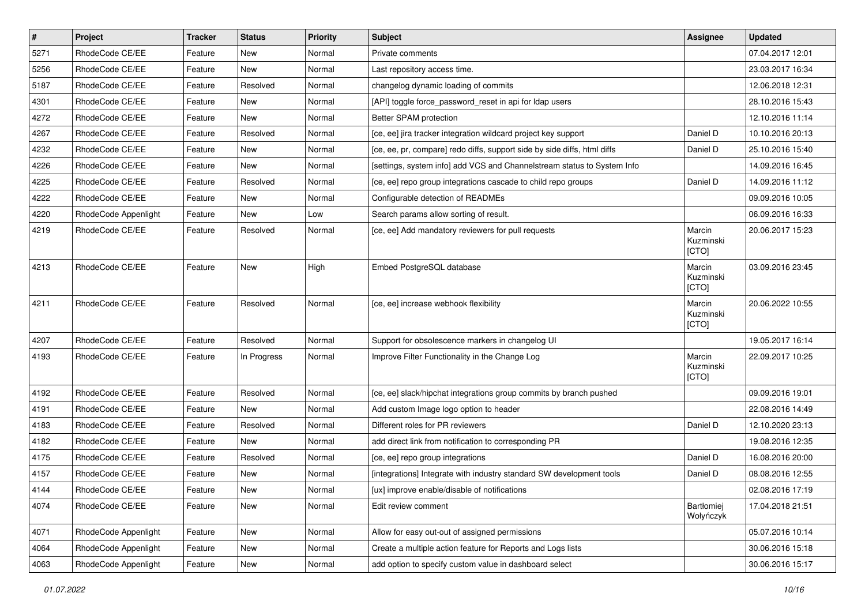| #    | Project              | <b>Tracker</b> | <b>Status</b> | <b>Priority</b> | <b>Subject</b>                                                           | <b>Assignee</b>              | <b>Updated</b>   |
|------|----------------------|----------------|---------------|-----------------|--------------------------------------------------------------------------|------------------------------|------------------|
| 5271 | RhodeCode CE/EE      | Feature        | New           | Normal          | Private comments                                                         |                              | 07.04.2017 12:01 |
| 5256 | RhodeCode CE/EE      | Feature        | New           | Normal          | Last repository access time.                                             |                              | 23.03.2017 16:34 |
| 5187 | RhodeCode CE/EE      | Feature        | Resolved      | Normal          | changelog dynamic loading of commits                                     |                              | 12.06.2018 12:31 |
| 4301 | RhodeCode CE/EE      | Feature        | New           | Normal          | [API] toggle force_password_reset in api for Idap users                  |                              | 28.10.2016 15:43 |
| 4272 | RhodeCode CE/EE      | Feature        | New           | Normal          | Better SPAM protection                                                   |                              | 12.10.2016 11:14 |
| 4267 | RhodeCode CE/EE      | Feature        | Resolved      | Normal          | [ce, ee] jira tracker integration wildcard project key support           | Daniel D                     | 10.10.2016 20:13 |
| 4232 | RhodeCode CE/EE      | Feature        | New           | Normal          | [ce, ee, pr, compare] redo diffs, support side by side diffs, html diffs | Daniel D                     | 25.10.2016 15:40 |
| 4226 | RhodeCode CE/EE      | Feature        | New           | Normal          | [settings, system info] add VCS and Channelstream status to System Info  |                              | 14.09.2016 16:45 |
| 4225 | RhodeCode CE/EE      | Feature        | Resolved      | Normal          | [ce, ee] repo group integrations cascade to child repo groups            | Daniel D                     | 14.09.2016 11:12 |
| 4222 | RhodeCode CE/EE      | Feature        | New           | Normal          | Configurable detection of READMEs                                        |                              | 09.09.2016 10:05 |
| 4220 | RhodeCode Appenlight | Feature        | New           | Low             | Search params allow sorting of result.                                   |                              | 06.09.2016 16:33 |
| 4219 | RhodeCode CE/EE      | Feature        | Resolved      | Normal          | [ce, ee] Add mandatory reviewers for pull requests                       | Marcin<br>Kuzminski<br>[CTO] | 20.06.2017 15:23 |
| 4213 | RhodeCode CE/EE      | Feature        | <b>New</b>    | High            | Embed PostgreSQL database                                                | Marcin<br>Kuzminski<br>[CTO] | 03.09.2016 23:45 |
| 4211 | RhodeCode CE/EE      | Feature        | Resolved      | Normal          | [ce, ee] increase webhook flexibility                                    | Marcin<br>Kuzminski<br>[CTO] | 20.06.2022 10:55 |
| 4207 | RhodeCode CE/EE      | Feature        | Resolved      | Normal          | Support for obsolescence markers in changelog UI                         |                              | 19.05.2017 16:14 |
| 4193 | RhodeCode CE/EE      | Feature        | In Progress   | Normal          | Improve Filter Functionality in the Change Log                           | Marcin<br>Kuzminski<br>[CTO] | 22.09.2017 10:25 |
| 4192 | RhodeCode CE/EE      | Feature        | Resolved      | Normal          | [ce, ee] slack/hipchat integrations group commits by branch pushed       |                              | 09.09.2016 19:01 |
| 4191 | RhodeCode CE/EE      | Feature        | New           | Normal          | Add custom Image logo option to header                                   |                              | 22.08.2016 14:49 |
| 4183 | RhodeCode CE/EE      | Feature        | Resolved      | Normal          | Different roles for PR reviewers                                         | Daniel D                     | 12.10.2020 23:13 |
| 4182 | RhodeCode CE/EE      | Feature        | New           | Normal          | add direct link from notification to corresponding PR                    |                              | 19.08.2016 12:35 |
| 4175 | RhodeCode CE/EE      | Feature        | Resolved      | Normal          | [ce, ee] repo group integrations                                         | Daniel D                     | 16.08.2016 20:00 |
| 4157 | RhodeCode CE/EE      | Feature        | New           | Normal          | [integrations] Integrate with industry standard SW development tools     | Daniel D                     | 08.08.2016 12:55 |
| 4144 | RhodeCode CE/EE      | Feature        | New           | Normal          | [ux] improve enable/disable of notifications                             |                              | 02.08.2016 17:19 |
| 4074 | RhodeCode CE/EE      | Feature        | New           | Normal          | Edit review comment                                                      | Bartłomiej<br>Wołyńczyk      | 17.04.2018 21:51 |
| 4071 | RhodeCode Appenlight | Feature        | New           | Normal          | Allow for easy out-out of assigned permissions                           |                              | 05.07.2016 10:14 |
| 4064 | RhodeCode Appenlight | Feature        | New           | Normal          | Create a multiple action feature for Reports and Logs lists              |                              | 30.06.2016 15:18 |
| 4063 | RhodeCode Appenlight | Feature        | New           | Normal          | add option to specify custom value in dashboard select                   |                              | 30.06.2016 15:17 |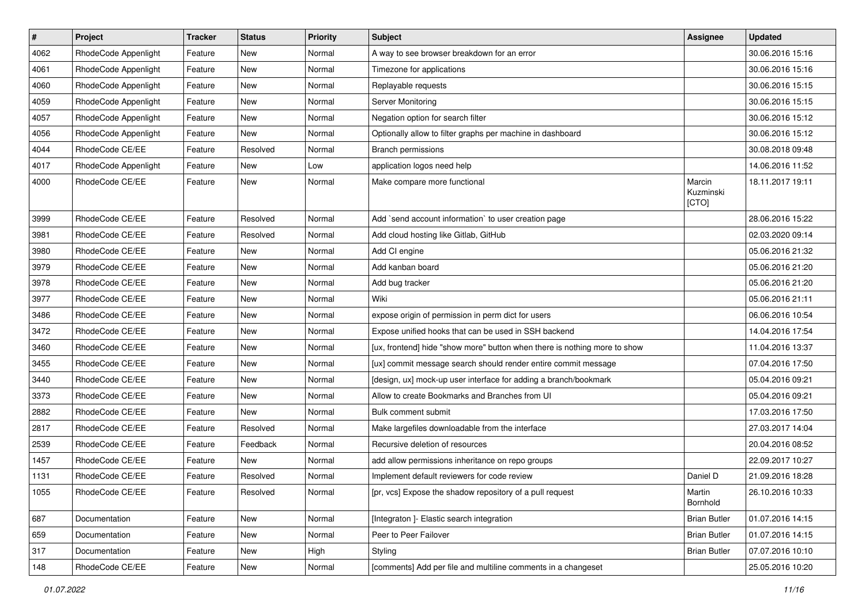| $\pmb{\#}$ | Project              | <b>Tracker</b> | <b>Status</b> | <b>Priority</b> | Subject                                                                   | <b>Assignee</b>              | <b>Updated</b>   |
|------------|----------------------|----------------|---------------|-----------------|---------------------------------------------------------------------------|------------------------------|------------------|
| 4062       | RhodeCode Appenlight | Feature        | New           | Normal          | A way to see browser breakdown for an error                               |                              | 30.06.2016 15:16 |
| 4061       | RhodeCode Appenlight | Feature        | <b>New</b>    | Normal          | Timezone for applications                                                 |                              | 30.06.2016 15:16 |
| 4060       | RhodeCode Appenlight | Feature        | New           | Normal          | Replayable requests                                                       |                              | 30.06.2016 15:15 |
| 4059       | RhodeCode Appenlight | Feature        | New           | Normal          | Server Monitoring                                                         |                              | 30.06.2016 15:15 |
| 4057       | RhodeCode Appenlight | Feature        | New           | Normal          | Negation option for search filter                                         |                              | 30.06.2016 15:12 |
| 4056       | RhodeCode Appenlight | Feature        | <b>New</b>    | Normal          | Optionally allow to filter graphs per machine in dashboard                |                              | 30.06.2016 15:12 |
| 4044       | RhodeCode CE/EE      | Feature        | Resolved      | Normal          | Branch permissions                                                        |                              | 30.08.2018 09:48 |
| 4017       | RhodeCode Appenlight | Feature        | <b>New</b>    | Low             | application logos need help                                               |                              | 14.06.2016 11:52 |
| 4000       | RhodeCode CE/EE      | Feature        | <b>New</b>    | Normal          | Make compare more functional                                              | Marcin<br>Kuzminski<br>[CTO] | 18.11.2017 19:11 |
| 3999       | RhodeCode CE/EE      | Feature        | Resolved      | Normal          | Add `send account information` to user creation page                      |                              | 28.06.2016 15:22 |
| 3981       | RhodeCode CE/EE      | Feature        | Resolved      | Normal          | Add cloud hosting like Gitlab, GitHub                                     |                              | 02.03.2020 09:14 |
| 3980       | RhodeCode CE/EE      | Feature        | <b>New</b>    | Normal          | Add CI engine                                                             |                              | 05.06.2016 21:32 |
| 3979       | RhodeCode CE/EE      | Feature        | <b>New</b>    | Normal          | Add kanban board                                                          |                              | 05.06.2016 21:20 |
| 3978       | RhodeCode CE/EE      | Feature        | <b>New</b>    | Normal          | Add bug tracker                                                           |                              | 05.06.2016 21:20 |
| 3977       | RhodeCode CE/EE      | Feature        | <b>New</b>    | Normal          | Wiki                                                                      |                              | 05.06.2016 21:11 |
| 3486       | RhodeCode CE/EE      | Feature        | <b>New</b>    | Normal          | expose origin of permission in perm dict for users                        |                              | 06.06.2016 10:54 |
| 3472       | RhodeCode CE/EE      | Feature        | New           | Normal          | Expose unified hooks that can be used in SSH backend                      |                              | 14.04.2016 17:54 |
| 3460       | RhodeCode CE/EE      | Feature        | New           | Normal          | [ux, frontend] hide "show more" button when there is nothing more to show |                              | 11.04.2016 13:37 |
| 3455       | RhodeCode CE/EE      | Feature        | New           | Normal          | [ux] commit message search should render entire commit message            |                              | 07.04.2016 17:50 |
| 3440       | RhodeCode CE/EE      | Feature        | <b>New</b>    | Normal          | [design, ux] mock-up user interface for adding a branch/bookmark          |                              | 05.04.2016 09:21 |
| 3373       | RhodeCode CE/EE      | Feature        | <b>New</b>    | Normal          | Allow to create Bookmarks and Branches from UI                            |                              | 05.04.2016 09:21 |
| 2882       | RhodeCode CE/EE      | Feature        | New           | Normal          | Bulk comment submit                                                       |                              | 17.03.2016 17:50 |
| 2817       | RhodeCode CE/EE      | Feature        | Resolved      | Normal          | Make largefiles downloadable from the interface                           |                              | 27.03.2017 14:04 |
| 2539       | RhodeCode CE/EE      | Feature        | Feedback      | Normal          | Recursive deletion of resources                                           |                              | 20.04.2016 08:52 |
| 1457       | RhodeCode CE/EE      | Feature        | New           | Normal          | add allow permissions inheritance on repo groups                          |                              | 22.09.2017 10:27 |
| 1131       | RhodeCode CE/EE      | Feature        | Resolved      | Normal          | Implement default reviewers for code review                               | Daniel D                     | 21.09.2016 18:28 |
| 1055       | RhodeCode CE/EE      | Feature        | Resolved      | Normal          | [pr, vcs] Expose the shadow repository of a pull request                  | Martin<br>Bornhold           | 26.10.2016 10:33 |
| 687        | Documentation        | Feature        | <b>New</b>    | Normal          | [Integraton ]- Elastic search integration                                 | <b>Brian Butler</b>          | 01.07.2016 14:15 |
| 659        | Documentation        | Feature        | New           | Normal          | Peer to Peer Failover                                                     | <b>Brian Butler</b>          | 01.07.2016 14:15 |
| 317        | Documentation        | Feature        | New           | High            | Styling                                                                   | <b>Brian Butler</b>          | 07.07.2016 10:10 |
| 148        | RhodeCode CE/EE      | Feature        | New           | Normal          | [comments] Add per file and multiline comments in a changeset             |                              | 25.05.2016 10:20 |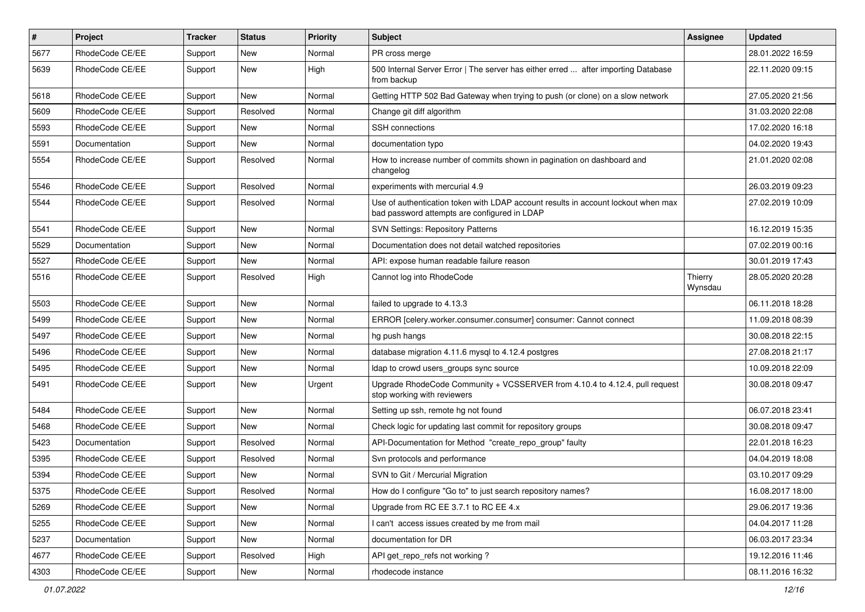| $\vert$ # | Project         | <b>Tracker</b> | <b>Status</b> | <b>Priority</b> | <b>Subject</b>                                                                                                                    | <b>Assignee</b>    | <b>Updated</b>   |
|-----------|-----------------|----------------|---------------|-----------------|-----------------------------------------------------------------------------------------------------------------------------------|--------------------|------------------|
| 5677      | RhodeCode CE/EE | Support        | New           | Normal          | PR cross merge                                                                                                                    |                    | 28.01.2022 16:59 |
| 5639      | RhodeCode CE/EE | Support        | New           | High            | 500 Internal Server Error   The server has either erred  after importing Database<br>from backup                                  |                    | 22.11.2020 09:15 |
| 5618      | RhodeCode CE/EE | Support        | New           | Normal          | Getting HTTP 502 Bad Gateway when trying to push (or clone) on a slow network                                                     |                    | 27.05.2020 21:56 |
| 5609      | RhodeCode CE/EE | Support        | Resolved      | Normal          | Change git diff algorithm                                                                                                         |                    | 31.03.2020 22:08 |
| 5593      | RhodeCode CE/EE | Support        | New           | Normal          | <b>SSH</b> connections                                                                                                            |                    | 17.02.2020 16:18 |
| 5591      | Documentation   | Support        | New           | Normal          | documentation typo                                                                                                                |                    | 04.02.2020 19:43 |
| 5554      | RhodeCode CE/EE | Support        | Resolved      | Normal          | How to increase number of commits shown in pagination on dashboard and<br>changelog                                               |                    | 21.01.2020 02:08 |
| 5546      | RhodeCode CE/EE | Support        | Resolved      | Normal          | experiments with mercurial 4.9                                                                                                    |                    | 26.03.2019 09:23 |
| 5544      | RhodeCode CE/EE | Support        | Resolved      | Normal          | Use of authentication token with LDAP account results in account lockout when max<br>bad password attempts are configured in LDAP |                    | 27.02.2019 10:09 |
| 5541      | RhodeCode CE/EE | Support        | New           | Normal          | <b>SVN Settings: Repository Patterns</b>                                                                                          |                    | 16.12.2019 15:35 |
| 5529      | Documentation   | Support        | New           | Normal          | Documentation does not detail watched repositories                                                                                |                    | 07.02.2019 00:16 |
| 5527      | RhodeCode CE/EE | Support        | New           | Normal          | API: expose human readable failure reason                                                                                         |                    | 30.01.2019 17:43 |
| 5516      | RhodeCode CE/EE | Support        | Resolved      | High            | Cannot log into RhodeCode                                                                                                         | Thierry<br>Wynsdau | 28.05.2020 20:28 |
| 5503      | RhodeCode CE/EE | Support        | <b>New</b>    | Normal          | failed to upgrade to 4.13.3                                                                                                       |                    | 06.11.2018 18:28 |
| 5499      | RhodeCode CE/EE | Support        | New           | Normal          | ERROR [celery.worker.consumer.consumer] consumer: Cannot connect                                                                  |                    | 11.09.2018 08:39 |
| 5497      | RhodeCode CE/EE | Support        | New           | Normal          | hg push hangs                                                                                                                     |                    | 30.08.2018 22:15 |
| 5496      | RhodeCode CE/EE | Support        | New           | Normal          | database migration 4.11.6 mysql to 4.12.4 postgres                                                                                |                    | 27.08.2018 21:17 |
| 5495      | RhodeCode CE/EE | Support        | New           | Normal          | Idap to crowd users_groups sync source                                                                                            |                    | 10.09.2018 22:09 |
| 5491      | RhodeCode CE/EE | Support        | New           | Urgent          | Upgrade RhodeCode Community + VCSSERVER from 4.10.4 to 4.12.4, pull request<br>stop working with reviewers                        |                    | 30.08.2018 09:47 |
| 5484      | RhodeCode CE/EE | Support        | New           | Normal          | Setting up ssh, remote hg not found                                                                                               |                    | 06.07.2018 23:41 |
| 5468      | RhodeCode CE/EE | Support        | <b>New</b>    | Normal          | Check logic for updating last commit for repository groups                                                                        |                    | 30.08.2018 09:47 |
| 5423      | Documentation   | Support        | Resolved      | Normal          | API-Documentation for Method "create repo group" faulty                                                                           |                    | 22.01.2018 16:23 |
| 5395      | RhodeCode CE/EE | Support        | Resolved      | Normal          | Svn protocols and performance                                                                                                     |                    | 04.04.2019 18:08 |
| 5394      | RhodeCode CE/EE | Support        | New           | Normal          | SVN to Git / Mercurial Migration                                                                                                  |                    | 03.10.2017 09:29 |
| 5375      | RhodeCode CE/EE | Support        | Resolved      | Normal          | How do I configure "Go to" to just search repository names?                                                                       |                    | 16.08.2017 18:00 |
| 5269      | RhodeCode CE/EE | Support        | New           | Normal          | Upgrade from RC EE 3.7.1 to RC EE 4.x                                                                                             |                    | 29.06.2017 19:36 |
| 5255      | RhodeCode CE/EE | Support        | New           | Normal          | I can't access issues created by me from mail                                                                                     |                    | 04.04.2017 11:28 |
| 5237      | Documentation   | Support        | New           | Normal          | documentation for DR                                                                                                              |                    | 06.03.2017 23:34 |
| 4677      | RhodeCode CE/EE | Support        | Resolved      | High            | API get repo refs not working?                                                                                                    |                    | 19.12.2016 11:46 |
| 4303      | RhodeCode CE/EE | Support        | New           | Normal          | rhodecode instance                                                                                                                |                    | 08.11.2016 16:32 |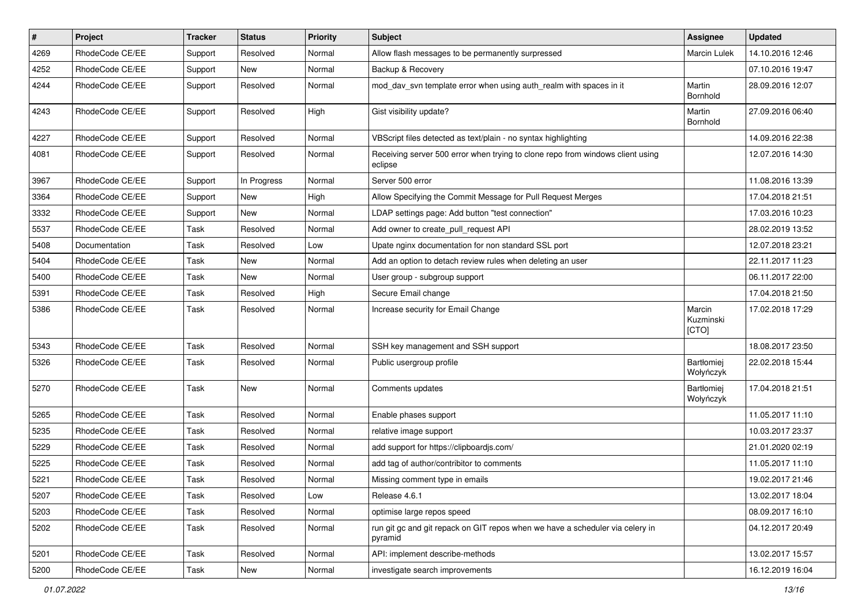| $\pmb{\#}$ | <b>Project</b>  | <b>Tracker</b> | <b>Status</b> | <b>Priority</b> | Subject                                                                                   | <b>Assignee</b>              | <b>Updated</b>   |
|------------|-----------------|----------------|---------------|-----------------|-------------------------------------------------------------------------------------------|------------------------------|------------------|
| 4269       | RhodeCode CE/EE | Support        | Resolved      | Normal          | Allow flash messages to be permanently surpressed                                         | Marcin Lulek                 | 14.10.2016 12:46 |
| 4252       | RhodeCode CE/EE | Support        | New           | Normal          | Backup & Recovery                                                                         |                              | 07.10.2016 19:47 |
| 4244       | RhodeCode CE/EE | Support        | Resolved      | Normal          | mod_dav_svn template error when using auth_realm with spaces in it                        | Martin<br><b>Bornhold</b>    | 28.09.2016 12:07 |
| 4243       | RhodeCode CE/EE | Support        | Resolved      | High            | Gist visibility update?                                                                   | Martin<br>Bornhold           | 27.09.2016 06:40 |
| 4227       | RhodeCode CE/EE | Support        | Resolved      | Normal          | VBScript files detected as text/plain - no syntax highlighting                            |                              | 14.09.2016 22:38 |
| 4081       | RhodeCode CE/EE | Support        | Resolved      | Normal          | Receiving server 500 error when trying to clone repo from windows client using<br>eclipse |                              | 12.07.2016 14:30 |
| 3967       | RhodeCode CE/EE | Support        | In Progress   | Normal          | Server 500 error                                                                          |                              | 11.08.2016 13:39 |
| 3364       | RhodeCode CE/EE | Support        | New           | High            | Allow Specifying the Commit Message for Pull Request Merges                               |                              | 17.04.2018 21:51 |
| 3332       | RhodeCode CE/EE | Support        | <b>New</b>    | Normal          | LDAP settings page: Add button "test connection"                                          |                              | 17.03.2016 10:23 |
| 5537       | RhodeCode CE/EE | Task           | Resolved      | Normal          | Add owner to create_pull_request API                                                      |                              | 28.02.2019 13:52 |
| 5408       | Documentation   | Task           | Resolved      | Low             | Upate nginx documentation for non standard SSL port                                       |                              | 12.07.2018 23:21 |
| 5404       | RhodeCode CE/EE | Task           | New           | Normal          | Add an option to detach review rules when deleting an user                                |                              | 22.11.2017 11:23 |
| 5400       | RhodeCode CE/EE | Task           | <b>New</b>    | Normal          | User group - subgroup support                                                             |                              | 06.11.2017 22:00 |
| 5391       | RhodeCode CE/EE | Task           | Resolved      | High            | Secure Email change                                                                       |                              | 17.04.2018 21:50 |
| 5386       | RhodeCode CE/EE | Task           | Resolved      | Normal          | Increase security for Email Change                                                        | Marcin<br>Kuzminski<br>[CTO] | 17.02.2018 17:29 |
| 5343       | RhodeCode CE/EE | Task           | Resolved      | Normal          | SSH key management and SSH support                                                        |                              | 18.08.2017 23:50 |
| 5326       | RhodeCode CE/EE | Task           | Resolved      | Normal          | Public usergroup profile                                                                  | Bartłomiej<br>Wołyńczyk      | 22.02.2018 15:44 |
| 5270       | RhodeCode CE/EE | Task           | New           | Normal          | Comments updates                                                                          | Bartłomiej<br>Wołyńczyk      | 17.04.2018 21:51 |
| 5265       | RhodeCode CE/EE | Task           | Resolved      | Normal          | Enable phases support                                                                     |                              | 11.05.2017 11:10 |
| 5235       | RhodeCode CE/EE | Task           | Resolved      | Normal          | relative image support                                                                    |                              | 10.03.2017 23:37 |
| 5229       | RhodeCode CE/EE | Task           | Resolved      | Normal          | add support for https://clipboardjs.com/                                                  |                              | 21.01.2020 02:19 |
| 5225       | RhodeCode CE/EE | Task           | Resolved      | Normal          | add tag of author/contribitor to comments                                                 |                              | 11.05.2017 11:10 |
| 5221       | RhodeCode CE/EE | Task           | Resolved      | Normal          | Missing comment type in emails                                                            |                              | 19.02.2017 21:46 |
| 5207       | RhodeCode CE/EE | Task           | Resolved      | Low             | Release 4.6.1                                                                             |                              | 13.02.2017 18:04 |
| 5203       | RhodeCode CE/EE | Task           | Resolved      | Normal          | optimise large repos speed                                                                |                              | 08.09.2017 16:10 |
| 5202       | RhodeCode CE/EE | Task           | Resolved      | Normal          | run git gc and git repack on GIT repos when we have a scheduler via celery in<br>pyramid  |                              | 04.12.2017 20:49 |
| 5201       | RhodeCode CE/EE | Task           | Resolved      | Normal          | API: implement describe-methods                                                           |                              | 13.02.2017 15:57 |
| 5200       | RhodeCode CE/EE | Task           | New           | Normal          | investigate search improvements                                                           |                              | 16.12.2019 16:04 |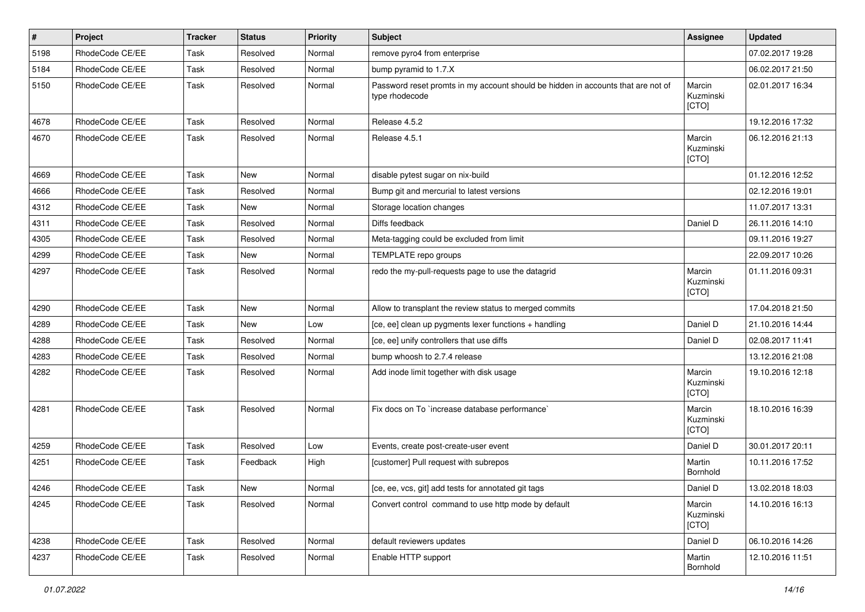| $\vert$ # | Project         | <b>Tracker</b> | <b>Status</b> | <b>Priority</b> | <b>Subject</b>                                                                                     | Assignee                     | <b>Updated</b>   |
|-----------|-----------------|----------------|---------------|-----------------|----------------------------------------------------------------------------------------------------|------------------------------|------------------|
| 5198      | RhodeCode CE/EE | Task           | Resolved      | Normal          | remove pyro4 from enterprise                                                                       |                              | 07.02.2017 19:28 |
| 5184      | RhodeCode CE/EE | Task           | Resolved      | Normal          | bump pyramid to 1.7.X                                                                              |                              | 06.02.2017 21:50 |
| 5150      | RhodeCode CE/EE | Task           | Resolved      | Normal          | Password reset promts in my account should be hidden in accounts that are not of<br>type rhodecode | Marcin<br>Kuzminski<br>[CTO] | 02.01.2017 16:34 |
| 4678      | RhodeCode CE/EE | Task           | Resolved      | Normal          | Release 4.5.2                                                                                      |                              | 19.12.2016 17:32 |
| 4670      | RhodeCode CE/EE | Task           | Resolved      | Normal          | Release 4.5.1                                                                                      | Marcin<br>Kuzminski<br>[CTO] | 06.12.2016 21:13 |
| 4669      | RhodeCode CE/EE | Task           | New           | Normal          | disable pytest sugar on nix-build                                                                  |                              | 01.12.2016 12:52 |
| 4666      | RhodeCode CE/EE | Task           | Resolved      | Normal          | Bump git and mercurial to latest versions                                                          |                              | 02.12.2016 19:01 |
| 4312      | RhodeCode CE/EE | Task           | <b>New</b>    | Normal          | Storage location changes                                                                           |                              | 11.07.2017 13:31 |
| 4311      | RhodeCode CE/EE | <b>Task</b>    | Resolved      | Normal          | Diffs feedback                                                                                     | Daniel D                     | 26.11.2016 14:10 |
| 4305      | RhodeCode CE/EE | Task           | Resolved      | Normal          | Meta-tagging could be excluded from limit                                                          |                              | 09.11.2016 19:27 |
| 4299      | RhodeCode CE/EE | Task           | New           | Normal          | TEMPLATE repo groups                                                                               |                              | 22.09.2017 10:26 |
| 4297      | RhodeCode CE/EE | Task           | Resolved      | Normal          | redo the my-pull-requests page to use the datagrid                                                 | Marcin<br>Kuzminski<br>[CTO] | 01.11.2016 09:31 |
| 4290      | RhodeCode CE/EE | Task           | <b>New</b>    | Normal          | Allow to transplant the review status to merged commits                                            |                              | 17.04.2018 21:50 |
| 4289      | RhodeCode CE/EE | Task           | <b>New</b>    | Low             | [ce, ee] clean up pygments lexer functions + handling                                              | Daniel D                     | 21.10.2016 14:44 |
| 4288      | RhodeCode CE/EE | Task           | Resolved      | Normal          | [ce, ee] unify controllers that use diffs                                                          | Daniel D                     | 02.08.2017 11:41 |
| 4283      | RhodeCode CE/EE | Task           | Resolved      | Normal          | bump whoosh to 2.7.4 release                                                                       |                              | 13.12.2016 21:08 |
| 4282      | RhodeCode CE/EE | Task           | Resolved      | Normal          | Add inode limit together with disk usage                                                           | Marcin<br>Kuzminski<br>[CTO] | 19.10.2016 12:18 |
| 4281      | RhodeCode CE/EE | Task           | Resolved      | Normal          | Fix docs on To `increase database performance`                                                     | Marcin<br>Kuzminski<br>[CTO] | 18.10.2016 16:39 |
| 4259      | RhodeCode CE/EE | Task           | Resolved      | Low             | Events, create post-create-user event                                                              | Daniel D                     | 30.01.2017 20:11 |
| 4251      | RhodeCode CE/EE | Task           | Feedback      | High            | [customer] Pull request with subrepos                                                              | Martin<br>Bornhold           | 10.11.2016 17:52 |
| 4246      | RhodeCode CE/EE | Task           | New           | Normal          | [ce, ee, vcs, git] add tests for annotated git tags                                                | Daniel D                     | 13.02.2018 18:03 |
| 4245      | RhodeCode CE/EE | Task           | Resolved      | Normal          | Convert control command to use http mode by default                                                | Marcin<br>Kuzminski<br>[CTO] | 14.10.2016 16:13 |
| 4238      | RhodeCode CE/EE | Task           | Resolved      | Normal          | default reviewers updates                                                                          | Daniel D                     | 06.10.2016 14:26 |
| 4237      | RhodeCode CE/EE | Task           | Resolved      | Normal          | Enable HTTP support                                                                                | Martin<br>Bornhold           | 12.10.2016 11:51 |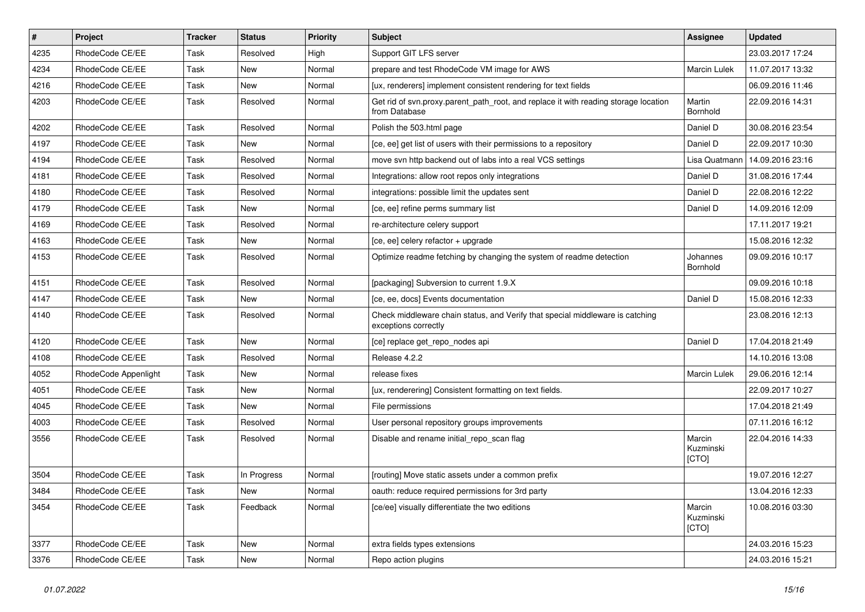| $\vert$ # | Project              | <b>Tracker</b> | <b>Status</b> | Priority | Subject                                                                                               | <b>Assignee</b>              | <b>Updated</b>   |
|-----------|----------------------|----------------|---------------|----------|-------------------------------------------------------------------------------------------------------|------------------------------|------------------|
| 4235      | RhodeCode CE/EE      | Task           | Resolved      | High     | Support GIT LFS server                                                                                |                              | 23.03.2017 17:24 |
| 4234      | RhodeCode CE/EE      | Task           | <b>New</b>    | Normal   | prepare and test RhodeCode VM image for AWS                                                           | <b>Marcin Lulek</b>          | 11.07.2017 13:32 |
| 4216      | RhodeCode CE/EE      | Task           | New           | Normal   | [ux, renderers] implement consistent rendering for text fields                                        |                              | 06.09.2016 11:46 |
| 4203      | RhodeCode CE/EE      | Task           | Resolved      | Normal   | Get rid of svn.proxy.parent_path_root, and replace it with reading storage location<br>from Database  | Martin<br>Bornhold           | 22.09.2016 14:31 |
| 4202      | RhodeCode CE/EE      | Task           | Resolved      | Normal   | Polish the 503.html page                                                                              | Daniel D                     | 30.08.2016 23:54 |
| 4197      | RhodeCode CE/EE      | Task           | <b>New</b>    | Normal   | [ce, ee] get list of users with their permissions to a repository                                     | Daniel D                     | 22.09.2017 10:30 |
| 4194      | RhodeCode CE/EE      | Task           | Resolved      | Normal   | move svn http backend out of labs into a real VCS settings                                            | Lisa Quatmann                | 14.09.2016 23:16 |
| 4181      | RhodeCode CE/EE      | Task           | Resolved      | Normal   | Integrations: allow root repos only integrations                                                      | Daniel D                     | 31.08.2016 17:44 |
| 4180      | RhodeCode CE/EE      | Task           | Resolved      | Normal   | integrations: possible limit the updates sent                                                         | Daniel D                     | 22.08.2016 12:22 |
| 4179      | RhodeCode CE/EE      | Task           | New           | Normal   | [ce, ee] refine perms summary list                                                                    | Daniel D                     | 14.09.2016 12:09 |
| 4169      | RhodeCode CE/EE      | Task           | Resolved      | Normal   | re-architecture celery support                                                                        |                              | 17.11.2017 19:21 |
| 4163      | RhodeCode CE/EE      | Task           | <b>New</b>    | Normal   | [ce, ee] celery refactor + upgrade                                                                    |                              | 15.08.2016 12:32 |
| 4153      | RhodeCode CE/EE      | Task           | Resolved      | Normal   | Optimize readme fetching by changing the system of readme detection                                   | Johannes<br>Bornhold         | 09.09.2016 10:17 |
| 4151      | RhodeCode CE/EE      | Task           | Resolved      | Normal   | [packaging] Subversion to current 1.9.X                                                               |                              | 09.09.2016 10:18 |
| 4147      | RhodeCode CE/EE      | Task           | New           | Normal   | [ce, ee, docs] Events documentation                                                                   | Daniel D                     | 15.08.2016 12:33 |
| 4140      | RhodeCode CE/EE      | Task           | Resolved      | Normal   | Check middleware chain status, and Verify that special middleware is catching<br>exceptions correctly |                              | 23.08.2016 12:13 |
| 4120      | RhodeCode CE/EE      | Task           | New           | Normal   | [ce] replace get_repo_nodes api                                                                       | Daniel D                     | 17.04.2018 21:49 |
| 4108      | RhodeCode CE/EE      | Task           | Resolved      | Normal   | Release 4.2.2                                                                                         |                              | 14.10.2016 13:08 |
| 4052      | RhodeCode Appenlight | Task           | <b>New</b>    | Normal   | release fixes                                                                                         | <b>Marcin Lulek</b>          | 29.06.2016 12:14 |
| 4051      | RhodeCode CE/EE      | Task           | New           | Normal   | [ux, renderering] Consistent formatting on text fields.                                               |                              | 22.09.2017 10:27 |
| 4045      | RhodeCode CE/EE      | Task           | New           | Normal   | File permissions                                                                                      |                              | 17.04.2018 21:49 |
| 4003      | RhodeCode CE/EE      | Task           | Resolved      | Normal   | User personal repository groups improvements                                                          |                              | 07.11.2016 16:12 |
| 3556      | RhodeCode CE/EE      | Task           | Resolved      | Normal   | Disable and rename initial_repo_scan flag                                                             | Marcin<br>Kuzminski<br>[CTO] | 22.04.2016 14:33 |
| 3504      | RhodeCode CE/EE      | Task           | In Progress   | Normal   | [routing] Move static assets under a common prefix                                                    |                              | 19.07.2016 12:27 |
| 3484      | RhodeCode CE/EE      | Task           | New           | Normal   | oauth: reduce required permissions for 3rd party                                                      |                              | 13.04.2016 12:33 |
| 3454      | RhodeCode CE/EE      | Task           | Feedback      | Normal   | [ce/ee] visually differentiate the two editions                                                       | Marcin<br>Kuzminski<br>[CTO] | 10.08.2016 03:30 |
| 3377      | RhodeCode CE/EE      | Task           | New           | Normal   | extra fields types extensions                                                                         |                              | 24.03.2016 15:23 |
| 3376      | RhodeCode CE/EE      | Task           | New           | Normal   | Repo action plugins                                                                                   |                              | 24.03.2016 15:21 |